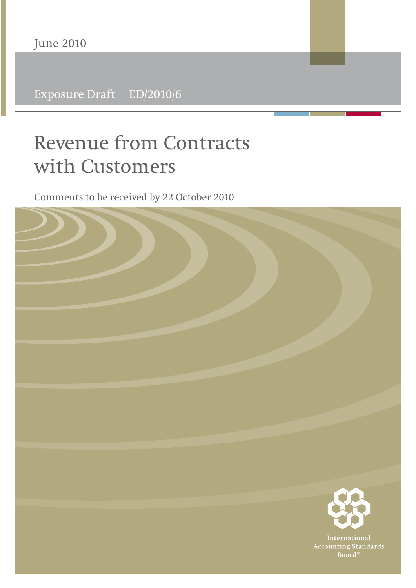Exposure Draft ED/2010/6

# **Revenue from Contracts with Customers**

Comments to be received by 22 October 2010

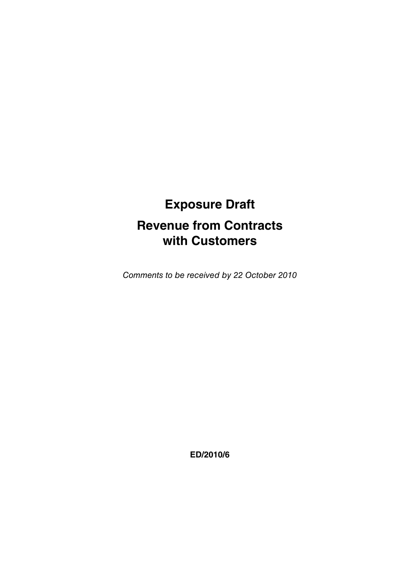## **Exposure Draft Revenue from Contracts with Customers**

Comments to be received by 22 October 2010

**ED/2010/6**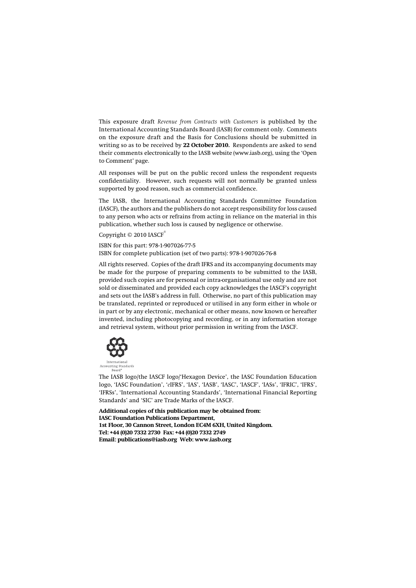This exposure draft *Revenue from Contracts with Customers* is published by the International Accounting Standards Board (IASB) for comment only. Comments on the exposure draft and the Basis for Conclusions should be submitted in writing so as to be received by **22 October 2010.** Respondents are asked to send their comments electronically to the IASB website (www.iasb.org), using the 'Open to Comment' page.

All responses will be put on the public record unless the respondent requests confidentiality. However, such requests will not normally be granted unless supported by good reason, such as commercial confidence.

The IASB, the International Accounting Standards Committee Foundation (IASCF), the authors and the publishers do not accept responsibility for loss caused to any person who acts or refrains from acting in reliance on the material in this publication, whether such loss is caused by negligence or otherwise.

Copyright © 2010 IASCF®

ISBN for this part: 978-1-907026-77-5

ISBN for complete publication (set of two parts): 978-1-907026-76-8

All rights reserved. Copies of the draft IFRS and its accompanying documents may be made for the purpose of preparing comments to be submitted to the IASB, provided such copies are for personal or intra-organisational use only and are not sold or disseminated and provided each copy acknowledges the IASCF's copyright and sets out the IASB's address in full. Otherwise, no part of this publication may be translated, reprinted or reproduced or utilised in any form either in whole or in part or by any electronic, mechanical or other means, now known or hereafter invented, including photocopying and recording, or in any information storage and retrieval system, without prior permission in writing from the IASCF.



The IASB logo/the IASCF logo/'Hexagon Device', the IASC Foundation Education logo, 'IASC Foundation', '*e*IFRS', 'IAS', 'IASB', 'IASC', 'IASCF', 'IASs', 'IFRIC', 'IFRS', 'IFRSs', 'International Accounting Standards', 'International Financial Reporting Standards' and 'SIC' are Trade Marks of the IASCF.

**Additional copies of this publication may be obtained from: IASC Foundation Publications Department, 1st Floor, 30 Cannon Street, London EC4M 6XH, United Kingdom. Tel: +44 (0)20 7332 2730 Fax: +44 (0)20 7332 2749 Email: publications@iasb.org Web: www.iasb.org**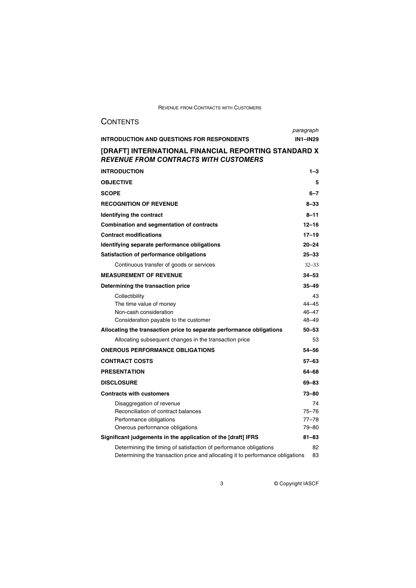| <b>CONTENTS</b>                                                                                                                                                 |                                           |  |
|-----------------------------------------------------------------------------------------------------------------------------------------------------------------|-------------------------------------------|--|
|                                                                                                                                                                 | paragraph                                 |  |
| INTRODUCTION AND QUESTIONS FOR RESPONDENTS                                                                                                                      | <b>IN1-IN29</b>                           |  |
| [DRAFT] INTERNATIONAL FINANCIAL REPORTING STANDARD X<br><b>REVENUE FROM CONTRACTS WITH CUSTOMERS</b>                                                            |                                           |  |
| <b>INTRODUCTION</b>                                                                                                                                             | $1 - 3$                                   |  |
| <b>OBJECTIVE</b>                                                                                                                                                | 5                                         |  |
| <b>SCOPE</b>                                                                                                                                                    | $6 - 7$                                   |  |
| <b>RECOGNITION OF REVENUE</b>                                                                                                                                   | $8 - 33$                                  |  |
| Identifying the contract                                                                                                                                        | $8 - 11$                                  |  |
| Combination and segmentation of contracts                                                                                                                       | 12-16                                     |  |
| <b>Contract modifications</b>                                                                                                                                   | $17 - 19$                                 |  |
| Identifying separate performance obligations                                                                                                                    | $20 - 24$                                 |  |
| Satisfaction of performance obligations                                                                                                                         | $25 - 33$                                 |  |
| Continuous transfer of goods or services                                                                                                                        | $32 - 33$                                 |  |
| <b>MEASUREMENT OF REVENUE</b>                                                                                                                                   | $34 - 53$                                 |  |
| Determining the transaction price                                                                                                                               | 35-49                                     |  |
| Collectibility<br>The time value of money<br>Non-cash consideration<br>Consideration payable to the customer                                                    | 43<br>$44 - 45$<br>$46 - 47$<br>$48 - 49$ |  |
| Allocating the transaction price to separate performance obligations                                                                                            | $50 - 53$                                 |  |
| Allocating subsequent changes in the transaction price                                                                                                          | 53                                        |  |
| <b>ONEROUS PERFORMANCE OBLIGATIONS</b>                                                                                                                          | 54-56                                     |  |
| <b>CONTRACT COSTS</b>                                                                                                                                           | $57 - 63$                                 |  |
| <b>PRESENTATION</b>                                                                                                                                             | 64-68                                     |  |
| <b>DISCLOSURE</b>                                                                                                                                               | 69-83                                     |  |
| <b>Contracts with customers</b>                                                                                                                                 | $73 - 80$                                 |  |
| Disaggregation of revenue<br>Reconciliation of contract balances<br>Performance obligations<br>Onerous performance obligations                                  | 74<br>$75 - 76$<br>$77 - 78$<br>79-80     |  |
| Significant judgements in the application of the [draft] IFRS<br>$81 - 83$                                                                                      |                                           |  |
| Determining the timing of satisfaction of performance obligations<br>82<br>Determining the transaction price and allocating it to performance obligations<br>83 |                                           |  |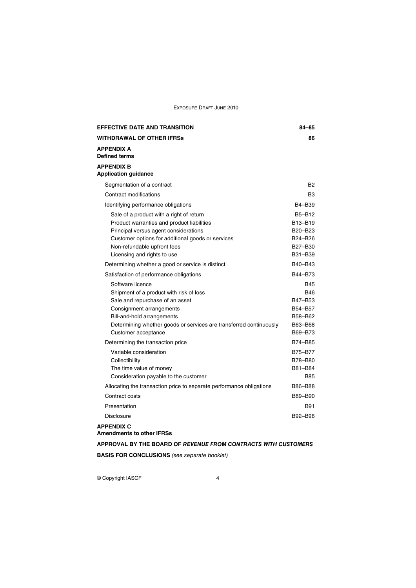| <b>EFFECTIVE DATE AND TRANSITION</b>                                                                                                                                                                                                                  | 84-85                                                                                  |
|-------------------------------------------------------------------------------------------------------------------------------------------------------------------------------------------------------------------------------------------------------|----------------------------------------------------------------------------------------|
| <b>WITHDRAWAL OF OTHER IFRSs</b>                                                                                                                                                                                                                      | 86                                                                                     |
| <b>APPENDIX A</b><br><b>Defined terms</b>                                                                                                                                                                                                             |                                                                                        |
| <b>APPENDIX B</b><br><b>Application guidance</b>                                                                                                                                                                                                      |                                                                                        |
| Segmentation of a contract                                                                                                                                                                                                                            | Β2                                                                                     |
| Contract modifications                                                                                                                                                                                                                                | B <sub>3</sub>                                                                         |
| Identifying performance obligations                                                                                                                                                                                                                   | B4-B39                                                                                 |
| Sale of a product with a right of return<br>Product warranties and product liabilities<br>Principal versus agent considerations<br>Customer options for additional goods or services<br>Non-refundable upfront fees<br>Licensing and rights to use    | B5-B12<br>B13-B19<br>B <sub>20</sub> -B <sub>23</sub><br>B24-B26<br>B27-B30<br>B31-B39 |
| Determining whether a good or service is distinct                                                                                                                                                                                                     | B40-B43                                                                                |
| Satisfaction of performance obligations                                                                                                                                                                                                               | B44-B73                                                                                |
| Software licence<br>Shipment of a product with risk of loss<br>Sale and repurchase of an asset<br>Consignment arrangements<br>Bill-and-hold arrangements<br>Determining whether goods or services are transferred continuously<br>Customer acceptance | <b>B45</b><br><b>B46</b><br>B47-B53<br>B54-B57<br>B58-B62<br>B63-B68<br>B69-B73        |
| Determining the transaction price                                                                                                                                                                                                                     | B74-B85                                                                                |
| Variable consideration<br>Collectibility<br>The time value of money<br>Consideration payable to the customer                                                                                                                                          | B75-B77<br>B78-B80<br>B81-B84<br><b>B85</b>                                            |
| Allocating the transaction price to separate performance obligations                                                                                                                                                                                  | B86-B88                                                                                |
| Contract costs                                                                                                                                                                                                                                        | B89-B90                                                                                |
| Presentation                                                                                                                                                                                                                                          | <b>B91</b>                                                                             |
| <b>Disclosure</b>                                                                                                                                                                                                                                     | B92-B96                                                                                |
| <b>APPENDIX C</b><br><b>Amendments to other IFRSs</b>                                                                                                                                                                                                 |                                                                                        |

**APPROVAL BY THE BOARD OF** *REVENUE FROM CONTRACTS WITH CUSTOMERS* **BASIS FOR CONCLUSIONS** (see separate booklet)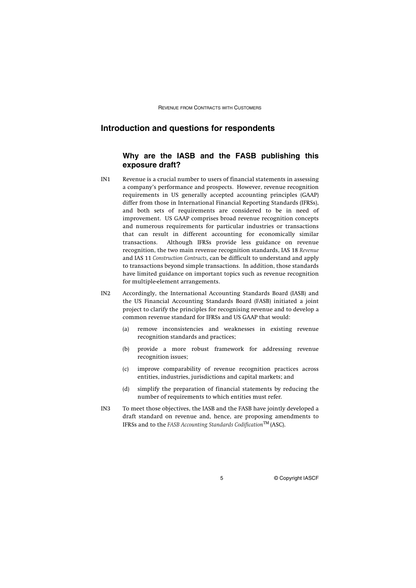## **Introduction and questions for respondents**

## **Why are the IASB and the FASB publishing this exposure draft?**

- IN1 Revenue is a crucial number to users of financial statements in assessing a company's performance and prospects. However, revenue recognition requirements in US generally accepted accounting principles (GAAP) differ from those in International Financial Reporting Standards (IFRSs), and both sets of requirements are considered to be in need of improvement. US GAAP comprises broad revenue recognition concepts and numerous requirements for particular industries or transactions that can result in different accounting for economically similar transactions. Although IFRSs provide less guidance on revenue recognition, the two main revenue recognition standards, IAS 18 *Revenue* and IAS 11 *Construction Contracts*, can be difficult to understand and apply to transactions beyond simple transactions. In addition, those standards have limited guidance on important topics such as revenue recognition for multiple-element arrangements.
- IN2 Accordingly, the International Accounting Standards Board (IASB) and the US Financial Accounting Standards Board (FASB) initiated a joint project to clarify the principles for recognising revenue and to develop a common revenue standard for IFRSs and US GAAP that would:
	- (a) remove inconsistencies and weaknesses in existing revenue recognition standards and practices;
	- (b) provide a more robust framework for addressing revenue recognition issues;
	- (c) improve comparability of revenue recognition practices across entities, industries, jurisdictions and capital markets; and
	- (d) simplify the preparation of financial statements by reducing the number of requirements to which entities must refer.
- IN3 To meet those objectives, the IASB and the FASB have jointly developed a draft standard on revenue and, hence, are proposing amendments to IFRSs and to the *FASB Accounting Standards Codification*TM (ASC).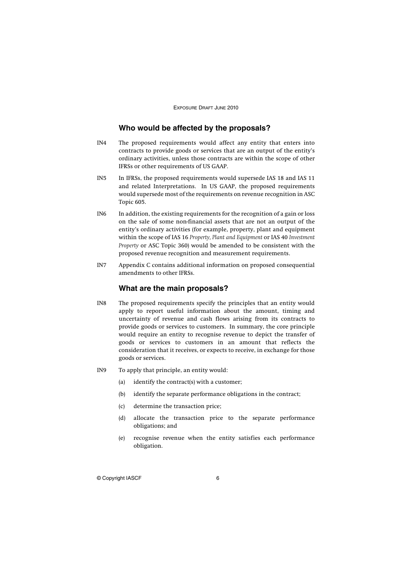## **Who would be affected by the proposals?**

- IN4 The proposed requirements would affect any entity that enters into contracts to provide goods or services that are an output of the entity's ordinary activities, unless those contracts are within the scope of other IFRSs or other requirements of US GAAP.
- IN5 In IFRSs, the proposed requirements would supersede IAS 18 and IAS 11 and related Interpretations. In US GAAP, the proposed requirements would supersede most of the requirements on revenue recognition in ASC Topic 605.
- IN6 In addition, the existing requirements for the recognition of a gain or loss on the sale of some non-financial assets that are not an output of the entity's ordinary activities (for example, property, plant and equipment within the scope of IAS 16 *Property, Plant and Equipment* or IAS 40 *Investment Property* or ASC Topic 360) would be amended to be consistent with the proposed revenue recognition and measurement requirements.
- IN7 Appendix C contains additional information on proposed consequential amendments to other IFRSs.

## **What are the main proposals?**

- IN8 The proposed requirements specify the principles that an entity would apply to report useful information about the amount, timing and uncertainty of revenue and cash flows arising from its contracts to provide goods or services to customers. In summary, the core principle would require an entity to recognise revenue to depict the transfer of goods or services to customers in an amount that reflects the consideration that it receives, or expects to receive, in exchange for those goods or services.
- IN9 To apply that principle, an entity would:
	- (a) identify the contract(s) with a customer;
	- (b) identify the separate performance obligations in the contract;
	- (c) determine the transaction price;
	- (d) allocate the transaction price to the separate performance obligations; and
	- (e) recognise revenue when the entity satisfies each performance obligation.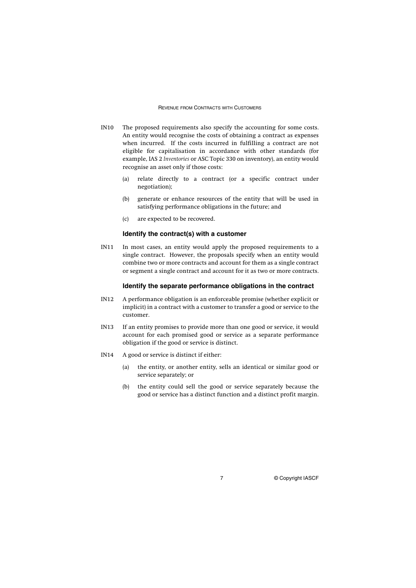- IN10 The proposed requirements also specify the accounting for some costs. An entity would recognise the costs of obtaining a contract as expenses when incurred. If the costs incurred in fulfilling a contract are not eligible for capitalisation in accordance with other standards (for example, IAS 2 *Inventories* or ASC Topic 330 on inventory), an entity would recognise an asset only if those costs:
	- (a) relate directly to a contract (or a specific contract under negotiation);
	- (b) generate or enhance resources of the entity that will be used in satisfying performance obligations in the future; and
	- (c) are expected to be recovered.

## **Identify the contract(s) with a customer**

IN11 In most cases, an entity would apply the proposed requirements to a single contract. However, the proposals specify when an entity would combine two or more contracts and account for them as a single contract or segment a single contract and account for it as two or more contracts.

## **Identify the separate performance obligations in the contract**

- IN12 A performance obligation is an enforceable promise (whether explicit or implicit) in a contract with a customer to transfer a good or service to the customer.
- IN13 If an entity promises to provide more than one good or service, it would account for each promised good or service as a separate performance obligation if the good or service is distinct.
- IN14 A good or service is distinct if either:
	- (a) the entity, or another entity, sells an identical or similar good or service separately; or
	- (b) the entity could sell the good or service separately because the good or service has a distinct function and a distinct profit margin.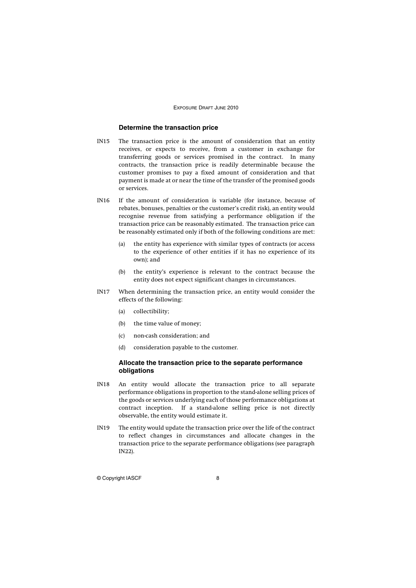## **Determine the transaction price**

- IN15 The transaction price is the amount of consideration that an entity receives, or expects to receive, from a customer in exchange for transferring goods or services promised in the contract. In many contracts, the transaction price is readily determinable because the customer promises to pay a fixed amount of consideration and that payment is made at or near the time of the transfer of the promised goods or services.
- IN16 If the amount of consideration is variable (for instance, because of rebates, bonuses, penalties or the customer's credit risk), an entity would recognise revenue from satisfying a performance obligation if the transaction price can be reasonably estimated. The transaction price can be reasonably estimated only if both of the following conditions are met:
	- (a) the entity has experience with similar types of contracts (or access to the experience of other entities if it has no experience of its own); and
	- (b) the entity's experience is relevant to the contract because the entity does not expect significant changes in circumstances.
- IN17 When determining the transaction price, an entity would consider the effects of the following:
	- (a) collectibility;
	- (b) the time value of money;
	- (c) non-cash consideration; and
	- (d) consideration payable to the customer.

## **Allocate the transaction price to the separate performance obligations**

- IN18 An entity would allocate the transaction price to all separate performance obligations in proportion to the stand-alone selling prices of the goods or services underlying each of those performance obligations at contract inception. If a stand-alone selling price is not directly observable, the entity would estimate it.
- IN19 The entity would update the transaction price over the life of the contract to reflect changes in circumstances and allocate changes in the transaction price to the separate performance obligations (see paragraph IN22).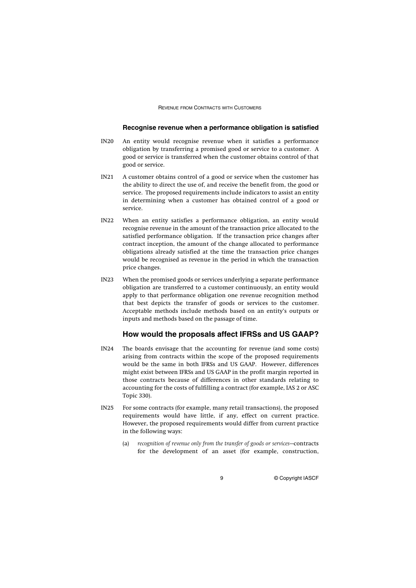## **Recognise revenue when a performance obligation is satisfied**

- IN20 An entity would recognise revenue when it satisfies a performance obligation by transferring a promised good or service to a customer. A good or service is transferred when the customer obtains control of that good or service.
- IN21 A customer obtains control of a good or service when the customer has the ability to direct the use of, and receive the benefit from, the good or service. The proposed requirements include indicators to assist an entity in determining when a customer has obtained control of a good or service.
- IN22 When an entity satisfies a performance obligation, an entity would recognise revenue in the amount of the transaction price allocated to the satisfied performance obligation. If the transaction price changes after contract inception, the amount of the change allocated to performance obligations already satisfied at the time the transaction price changes would be recognised as revenue in the period in which the transaction price changes.
- IN23 When the promised goods or services underlying a separate performance obligation are transferred to a customer continuously, an entity would apply to that performance obligation one revenue recognition method that best depicts the transfer of goods or services to the customer. Acceptable methods include methods based on an entity's outputs or inputs and methods based on the passage of time.

## **How would the proposals affect IFRSs and US GAAP?**

- IN24 The boards envisage that the accounting for revenue (and some costs) arising from contracts within the scope of the proposed requirements would be the same in both IFRSs and US GAAP. However, differences might exist between IFRSs and US GAAP in the profit margin reported in those contracts because of differences in other standards relating to accounting for the costs of fulfilling a contract (for example, IAS 2 or ASC Topic 330).
- IN25 For some contracts (for example, many retail transactions), the proposed requirements would have little, if any, effect on current practice. However, the proposed requirements would differ from current practice in the following ways:
	- (a) *recognition of revenue only from the transfer of goods or services*—contracts for the development of an asset (for example, construction,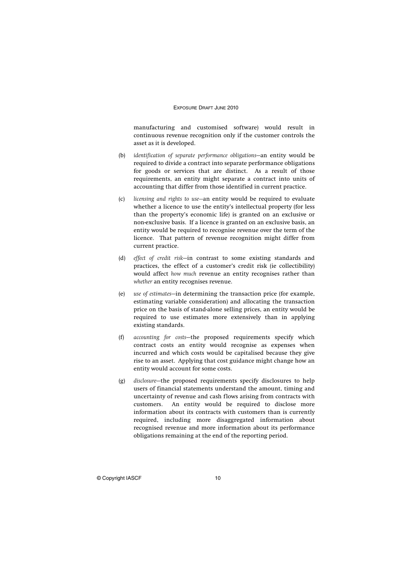manufacturing and customised software) would result in continuous revenue recognition only if the customer controls the asset as it is developed.

- (b) *identification of separate performance obligations*—an entity would be required to divide a contract into separate performance obligations for goods or services that are distinct. As a result of those requirements, an entity might separate a contract into units of accounting that differ from those identified in current practice.
- (c) *licensing and rights to use—*an entity would be required to evaluate whether a licence to use the entity's intellectual property (for less than the property's economic life) is granted on an exclusive or non-exclusive basis. If a licence is granted on an exclusive basis, an entity would be required to recognise revenue over the term of the licence. That pattern of revenue recognition might differ from current practice.
- (d) *effect of credit risk*—in contrast to some existing standards and practices, the effect of a customer's credit risk (ie collectibility) would affect *how much* revenue an entity recognises rather than *whether* an entity recognises revenue.
- (e) *use of estimates*—in determining the transaction price (for example, estimating variable consideration) and allocating the transaction price on the basis of stand-alone selling prices, an entity would be required to use estimates more extensively than in applying existing standards.
- (f) *accounting for costs*—the proposed requirements specify which contract costs an entity would recognise as expenses when incurred and which costs would be capitalised because they give rise to an asset. Applying that cost guidance might change how an entity would account for some costs.
- (g) *disclosure*—the proposed requirements specify disclosures to help users of financial statements understand the amount, timing and uncertainty of revenue and cash flows arising from contracts with customers. An entity would be required to disclose more information about its contracts with customers than is currently required, including more disaggregated information about recognised revenue and more information about its performance obligations remaining at the end of the reporting period.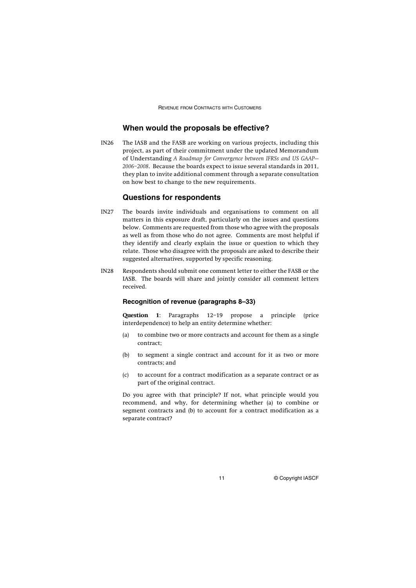## **When would the proposals be effective?**

IN26 The IASB and the FASB are working on various projects, including this project, as part of their commitment under the updated Memorandum of Understanding *A Roadmap for Convergence between IFRSs and US GAAP— 2006–2008*. Because the boards expect to issue several standards in 2011, they plan to invite additional comment through a separate consultation on how best to change to the new requirements.

## **Questions for respondents**

- IN27 The boards invite individuals and organisations to comment on all matters in this exposure draft, particularly on the issues and questions below. Comments are requested from those who agree with the proposals as well as from those who do not agree. Comments are most helpful if they identify and clearly explain the issue or question to which they relate. Those who disagree with the proposals are asked to describe their suggested alternatives, supported by specific reasoning.
- IN28 Respondents should submit one comment letter to either the FASB or the IASB. The boards will share and jointly consider all comment letters received.

## **Recognition of revenue (paragraphs 8–33)**

**Question 1**: Paragraphs 12–19 propose a principle (price interdependence) to help an entity determine whether:

- (a) to combine two or more contracts and account for them as a single contract;
- (b) to segment a single contract and account for it as two or more contracts; and
- (c) to account for a contract modification as a separate contract or as part of the original contract.

Do you agree with that principle? If not, what principle would you recommend, and why, for determining whether (a) to combine or segment contracts and (b) to account for a contract modification as a separate contract?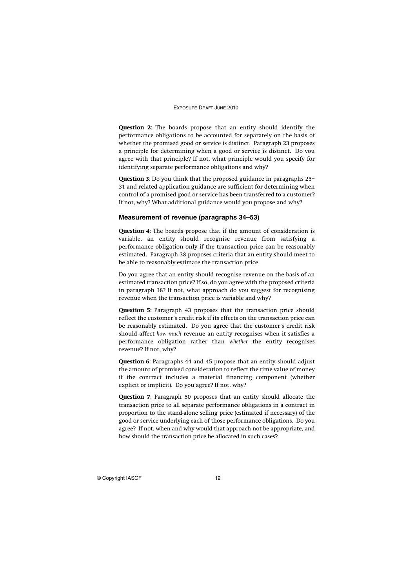**Question 2**: The boards propose that an entity should identify the performance obligations to be accounted for separately on the basis of whether the promised good or service is distinct. Paragraph 23 proposes a principle for determining when a good or service is distinct. Do you agree with that principle? If not, what principle would you specify for identifying separate performance obligations and why?

**Question 3**: Do you think that the proposed guidance in paragraphs 25– 31 and related application guidance are sufficient for determining when control of a promised good or service has been transferred to a customer? If not, why? What additional guidance would you propose and why?

## **Measurement of revenue (paragraphs 34–53)**

**Question 4**: The boards propose that if the amount of consideration is variable, an entity should recognise revenue from satisfying a performance obligation only if the transaction price can be reasonably estimated. Paragraph 38 proposes criteria that an entity should meet to be able to reasonably estimate the transaction price.

Do you agree that an entity should recognise revenue on the basis of an estimated transaction price? If so, do you agree with the proposed criteria in paragraph 38? If not, what approach do you suggest for recognising revenue when the transaction price is variable and why?

**Question 5**: Paragraph 43 proposes that the transaction price should reflect the customer's credit risk if its effects on the transaction price can be reasonably estimated. Do you agree that the customer's credit risk should affect *how much* revenue an entity recognises when it satisfies a performance obligation rather than *whether* the entity recognises revenue? If not, why?

**Question 6**: Paragraphs 44 and 45 propose that an entity should adjust the amount of promised consideration to reflect the time value of money if the contract includes a material financing component (whether explicit or implicit). Do you agree? If not, why?

**Question 7**: Paragraph 50 proposes that an entity should allocate the transaction price to all separate performance obligations in a contract in proportion to the stand-alone selling price (estimated if necessary) of the good or service underlying each of those performance obligations. Do you agree? If not, when and why would that approach not be appropriate, and how should the transaction price be allocated in such cases?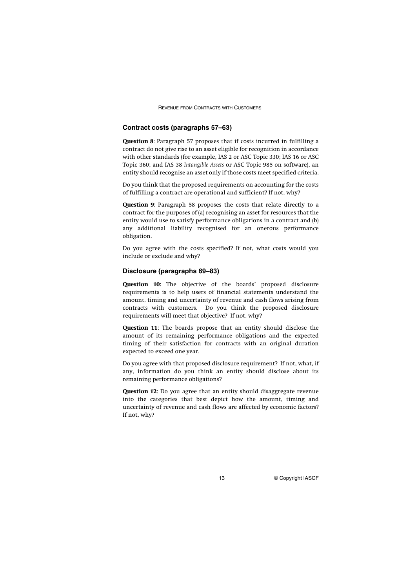## **Contract costs (paragraphs 57–63)**

**Question 8**: Paragraph 57 proposes that if costs incurred in fulfilling a contract do not give rise to an asset eligible for recognition in accordance with other standards (for example, IAS 2 or ASC Topic 330; IAS 16 or ASC Topic 360; and IAS 38 *Intangible Assets* or ASC Topic 985 on software), an entity should recognise an asset only if those costs meet specified criteria.

Do you think that the proposed requirements on accounting for the costs of fulfilling a contract are operational and sufficient? If not, why?

**Question 9**: Paragraph 58 proposes the costs that relate directly to a contract for the purposes of (a) recognising an asset for resources that the entity would use to satisfy performance obligations in a contract and (b) any additional liability recognised for an onerous performance obligation.

Do you agree with the costs specified? If not, what costs would you include or exclude and why?

## **Disclosure (paragraphs 69–83)**

**Question 10:** The objective of the boards' proposed disclosure requirements is to help users of financial statements understand the amount, timing and uncertainty of revenue and cash flows arising from contracts with customers. Do you think the proposed disclosure requirements will meet that objective? If not, why?

**Question 11**: The boards propose that an entity should disclose the amount of its remaining performance obligations and the expected timing of their satisfaction for contracts with an original duration expected to exceed one year.

Do you agree with that proposed disclosure requirement? If not, what, if any, information do you think an entity should disclose about its remaining performance obligations?

**Question 12**: Do you agree that an entity should disaggregate revenue into the categories that best depict how the amount, timing and uncertainty of revenue and cash flows are affected by economic factors? If not, why?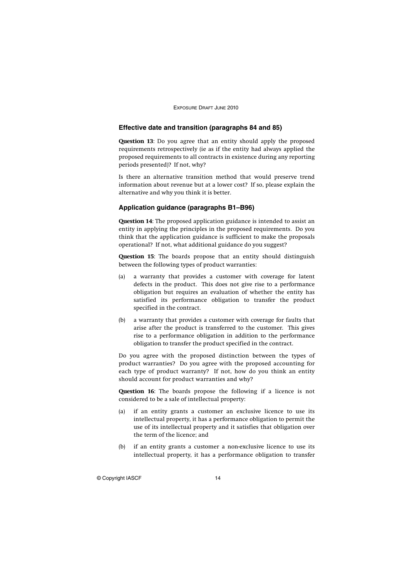## **Effective date and transition (paragraphs 84 and 85)**

**Question 13**: Do you agree that an entity should apply the proposed requirements retrospectively (ie as if the entity had always applied the proposed requirements to all contracts in existence during any reporting periods presented)? If not, why?

Is there an alternative transition method that would preserve trend information about revenue but at a lower cost? If so, please explain the alternative and why you think it is better.

#### **Application guidance (paragraphs B1–B96)**

**Question 14**: The proposed application guidance is intended to assist an entity in applying the principles in the proposed requirements. Do you think that the application guidance is sufficient to make the proposals operational? If not, what additional guidance do you suggest?

**Question 15**: The boards propose that an entity should distinguish between the following types of product warranties:

- (a) a warranty that provides a customer with coverage for latent defects in the product. This does not give rise to a performance obligation but requires an evaluation of whether the entity has satisfied its performance obligation to transfer the product specified in the contract.
- (b) a warranty that provides a customer with coverage for faults that arise after the product is transferred to the customer. This gives rise to a performance obligation in addition to the performance obligation to transfer the product specified in the contract.

Do you agree with the proposed distinction between the types of product warranties? Do you agree with the proposed accounting for each type of product warranty? If not, how do you think an entity should account for product warranties and why?

**Question 16**: The boards propose the following if a licence is not considered to be a sale of intellectual property:

- (a) if an entity grants a customer an exclusive licence to use its intellectual property, it has a performance obligation to permit the use of its intellectual property and it satisfies that obligation over the term of the licence; and
- (b) if an entity grants a customer a non-exclusive licence to use its intellectual property, it has a performance obligation to transfer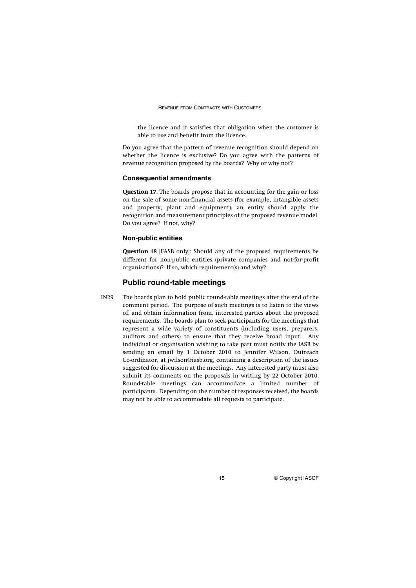the licence and it satisfies that obligation when the customer is able to use and benefit from the licence.

Do you agree that the pattern of revenue recognition should depend on whether the licence is exclusive? Do you agree with the patterns of revenue recognition proposed by the boards? Why or why not?

#### **Consequential amendments**

**Question 17**: The boards propose that in accounting for the gain or loss on the sale of some non-financial assets (for example, intangible assets and property, plant and equipment), an entity should apply the recognition and measurement principles of the proposed revenue model. Do you agree? If not, why?

#### **Non-public entities**

**Question 18** [FASB only]: Should any of the proposed requirements be different for non-public entities (private companies and not-for-profit organisations)? If so, which requirement(s) and why?

## **Public round-table meetings**

IN29 The boards plan to hold public round-table meetings after the end of the comment period. The purpose of such meetings is to listen to the views of, and obtain information from, interested parties about the proposed requirements. The boards plan to seek participants for the meetings that represent a wide variety of constituents (including users, preparers, auditors and others) to ensure that they receive broad input. Any individual or organisation wishing to take part must notify the IASB by sending an email by 1 October 2010 to Jennifer Wilson, Outreach Co-ordinator, at jwilson@iasb.org, containing a description of the issues suggested for discussion at the meetings. Any interested party must also submit its comments on the proposals in writing by 22 October 2010. Round-table meetings can accommodate a limited number of participants. Depending on the number of responses received, the boards may not be able to accommodate all requests to participate.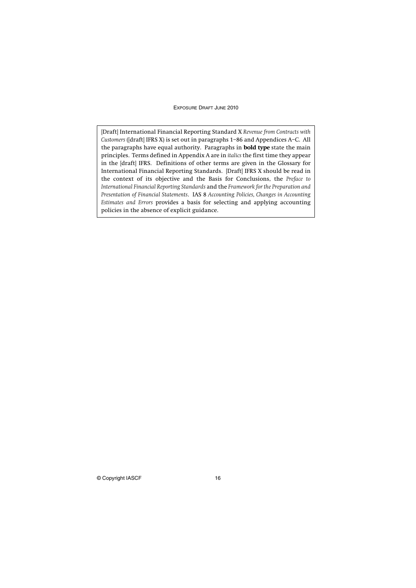[Draft] International Financial Reporting Standard X *Revenue from Contracts with Customers* ([draft] IFRS X) is set out in paragraphs 1–86 and Appendices A–C. All the paragraphs have equal authority. Paragraphs in **bold type** state the main principles. Terms defined in Appendix A are in *italics* the first time they appear in the [draft] IFRS. Definitions of other terms are given in the Glossary for International Financial Reporting Standards. [Draft] IFRS X should be read in the context of its objective and the Basis for Conclusions, the *Preface to International Financial Reporting Standards* and the *Framework for the Preparation and Presentation of Financial Statements*. IAS 8 *Accounting Policies, Changes in Accounting Estimates and Errors* provides a basis for selecting and applying accounting policies in the absence of explicit guidance.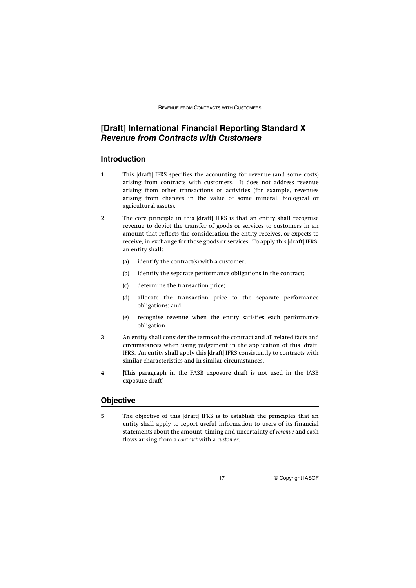## **[Draft] International Financial Reporting Standard X**  *Revenue from Contracts with Customers*

## **Introduction**

- 1 This [draft] IFRS specifies the accounting for revenue (and some costs) arising from contracts with customers. It does not address revenue arising from other transactions or activities (for example, revenues arising from changes in the value of some mineral, biological or agricultural assets).
- 2 The core principle in this [draft] IFRS is that an entity shall recognise revenue to depict the transfer of goods or services to customers in an amount that reflects the consideration the entity receives, or expects to receive, in exchange for those goods or services. To apply this [draft] IFRS, an entity shall:
	- (a) identify the contract(s) with a customer;
	- (b) identify the separate performance obligations in the contract;
	- (c) determine the transaction price;
	- (d) allocate the transaction price to the separate performance obligations; and
	- (e) recognise revenue when the entity satisfies each performance obligation.
- 3 An entity shall consider the terms of the contract and all related facts and circumstances when using judgement in the application of this [draft] IFRS. An entity shall apply this [draft] IFRS consistently to contracts with similar characteristics and in similar circumstances.
- 4 [This paragraph in the FASB exposure draft is not used in the IASB exposure draft]

## **Objective**

5 The objective of this [draft] IFRS is to establish the principles that an entity shall apply to report useful information to users of its financial statements about the amount, timing and uncertainty of *revenue* and cash flows arising from a *contract* with a *customer*.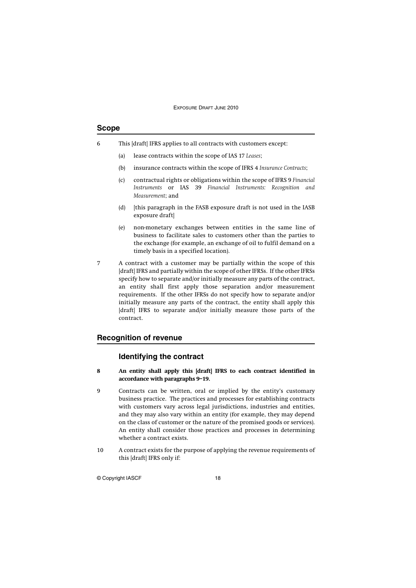## **Scope**

- 6 This [draft] IFRS applies to all contracts with customers except:
	- (a) lease contracts within the scope of IAS 17 *Leases*;
	- (b) insurance contracts within the scope of IFRS 4 *Insurance Contracts*;
	- (c) contractual rights or obligations within the scope of IFRS 9 *Financial Instruments* or IAS 39 *Financial Instruments: Recognition and Measurement*; and
	- (d) [this paragraph in the FASB exposure draft is not used in the IASB exposure draft]
	- (e) non-monetary exchanges between entities in the same line of business to facilitate sales to customers other than the parties to the exchange (for example, an exchange of oil to fulfil demand on a timely basis in a specified location).
- 7 A contract with a customer may be partially within the scope of this [draft] IFRS and partially within the scope of other IFRSs. If the other IFRSs specify how to separate and/or initially measure any parts of the contract, an entity shall first apply those separation and/or measurement requirements. If the other IFRSs do not specify how to separate and/or initially measure any parts of the contract, the entity shall apply this [draft] IFRS to separate and/or initially measure those parts of the contract.

## **Recognition of revenue**

## **Identifying the contract**

- **8 An entity shall apply this [draft] IFRS to each contract identified in accordance with paragraphs 9–19.**
- 9 Contracts can be written, oral or implied by the entity's customary business practice. The practices and processes for establishing contracts with customers vary across legal jurisdictions, industries and entities, and they may also vary within an entity (for example, they may depend on the class of customer or the nature of the promised goods or services). An entity shall consider those practices and processes in determining whether a contract exists.
- 10 A contract exists for the purpose of applying the revenue requirements of this [draft] IFRS only if: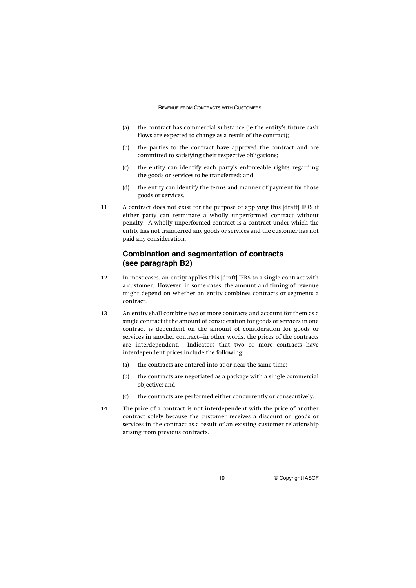- (a) the contract has commercial substance (ie the entity's future cash flows are expected to change as a result of the contract);
- (b) the parties to the contract have approved the contract and are committed to satisfying their respective obligations;
- (c) the entity can identify each party's enforceable rights regarding the goods or services to be transferred; and
- (d) the entity can identify the terms and manner of payment for those goods or services.
- 11 A contract does not exist for the purpose of applying this [draft] IFRS if either party can terminate a wholly unperformed contract without penalty. A wholly unperformed contract is a contract under which the entity has not transferred any goods or services and the customer has not paid any consideration.

## **Combination and segmentation of contracts (see paragraph B2)**

- 12 In most cases, an entity applies this [draft] IFRS to a single contract with a customer. However, in some cases, the amount and timing of revenue might depend on whether an entity combines contracts or segments a contract.
- 13 An entity shall combine two or more contracts and account for them as a single contract if the amount of consideration for goods or services in one contract is dependent on the amount of consideration for goods or services in another contract—in other words, the prices of the contracts are interdependent. Indicators that two or more contracts have interdependent prices include the following:
	- (a) the contracts are entered into at or near the same time;
	- (b) the contracts are negotiated as a package with a single commercial objective; and
	- (c) the contracts are performed either concurrently or consecutively.
- 14 The price of a contract is not interdependent with the price of another contract solely because the customer receives a discount on goods or services in the contract as a result of an existing customer relationship arising from previous contracts.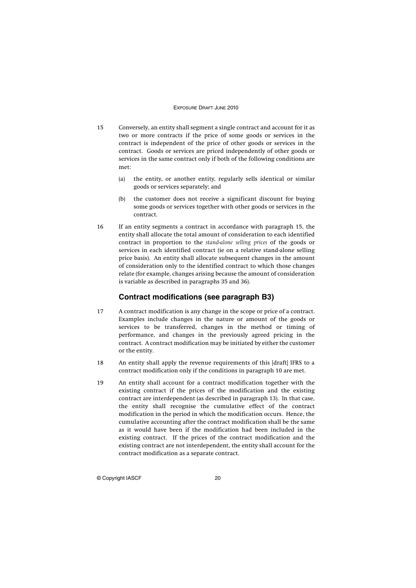- 15 Conversely, an entity shall segment a single contract and account for it as two or more contracts if the price of some goods or services in the contract is independent of the price of other goods or services in the contract. Goods or services are priced independently of other goods or services in the same contract only if both of the following conditions are met:
	- (a) the entity, or another entity, regularly sells identical or similar goods or services separately; and
	- (b) the customer does not receive a significant discount for buying some goods or services together with other goods or services in the contract.
- 16 If an entity segments a contract in accordance with paragraph 15, the entity shall allocate the total amount of consideration to each identified contract in proportion to the *stand-alone selling prices* of the goods or services in each identified contract (ie on a relative stand-alone selling price basis). An entity shall allocate subsequent changes in the amount of consideration only to the identified contract to which those changes relate (for example, changes arising because the amount of consideration is variable as described in paragraphs 35 and 36).

## **Contract modifications (see paragraph B3)**

- 17 A contract modification is any change in the scope or price of a contract. Examples include changes in the nature or amount of the goods or services to be transferred, changes in the method or timing of performance, and changes in the previously agreed pricing in the contract. A contract modification may be initiated by either the customer or the entity.
- 18 An entity shall apply the revenue requirements of this [draft] IFRS to a contract modification only if the conditions in paragraph 10 are met.
- 19 An entity shall account for a contract modification together with the existing contract if the prices of the modification and the existing contract are interdependent (as described in paragraph 13). In that case, the entity shall recognise the cumulative effect of the contract modification in the period in which the modification occurs. Hence, the cumulative accounting after the contract modification shall be the same as it would have been if the modification had been included in the existing contract. If the prices of the contract modification and the existing contract are not interdependent, the entity shall account for the contract modification as a separate contract.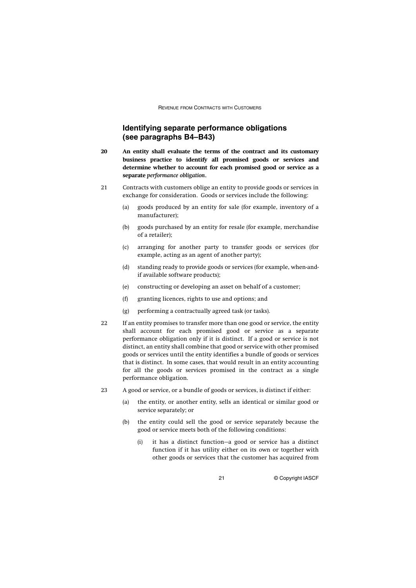## **Identifying separate performance obligations (see paragraphs B4–B43)**

- **20 An entity shall evaluate the terms of the contract and its customary business practice to identify all promised goods or services and determine whether to account for each promised good or service as a separate** *performance obligation***.**
- 21 Contracts with customers oblige an entity to provide goods or services in exchange for consideration. Goods or services include the following:
	- (a) goods produced by an entity for sale (for example, inventory of a manufacturer);
	- (b) goods purchased by an entity for resale (for example, merchandise of a retailer);
	- (c) arranging for another party to transfer goods or services (for example, acting as an agent of another party);
	- (d) standing ready to provide goods or services (for example, when-andif available software products);
	- (e) constructing or developing an asset on behalf of a customer;
	- (f) granting licences, rights to use and options; and
	- (g) performing a contractually agreed task (or tasks).
- 22 If an entity promises to transfer more than one good or service, the entity shall account for each promised good or service as a separate performance obligation only if it is distinct. If a good or service is not distinct, an entity shall combine that good or service with other promised goods or services until the entity identifies a bundle of goods or services that is distinct. In some cases, that would result in an entity accounting for all the goods or services promised in the contract as a single performance obligation.
- 23 A good or service, or a bundle of goods or services, is distinct if either:
	- (a) the entity, or another entity, sells an identical or similar good or service separately; or
	- (b) the entity could sell the good or service separately because the good or service meets both of the following conditions:
		- (i) it has a distinct function—a good or service has a distinct function if it has utility either on its own or together with other goods or services that the customer has acquired from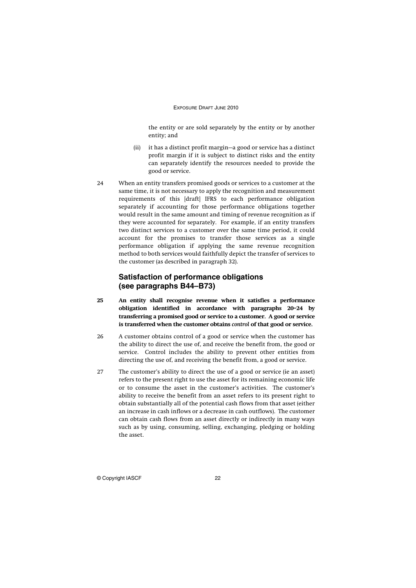the entity or are sold separately by the entity or by another entity; and

- (ii) it has a distinct profit margin—a good or service has a distinct profit margin if it is subject to distinct risks and the entity can separately identify the resources needed to provide the good or service.
- 24 When an entity transfers promised goods or services to a customer at the same time, it is not necessary to apply the recognition and measurement requirements of this [draft] IFRS to each performance obligation separately if accounting for those performance obligations together would result in the same amount and timing of revenue recognition as if they were accounted for separately. For example, if an entity transfers two distinct services to a customer over the same time period, it could account for the promises to transfer those services as a single performance obligation if applying the same revenue recognition method to both services would faithfully depict the transfer of services to the customer (as described in paragraph 32).

## **Satisfaction of performance obligations (see paragraphs B44–B73)**

- **25 An entity shall recognise revenue when it satisfies a performance obligation identified in accordance with paragraphs 20–24 by transferring a promised good or service to a customer. A good or service is transferred when the customer obtains** *control* **of that good or service.**
- 26 A customer obtains control of a good or service when the customer has the ability to direct the use of, and receive the benefit from, the good or service. Control includes the ability to prevent other entities from directing the use of, and receiving the benefit from, a good or service.
- 27 The customer's ability to direct the use of a good or service (ie an asset) refers to the present right to use the asset for its remaining economic life or to consume the asset in the customer's activities. The customer's ability to receive the benefit from an asset refers to its present right to obtain substantially all of the potential cash flows from that asset (either an increase in cash inflows or a decrease in cash outflows). The customer can obtain cash flows from an asset directly or indirectly in many ways such as by using, consuming, selling, exchanging, pledging or holding the asset.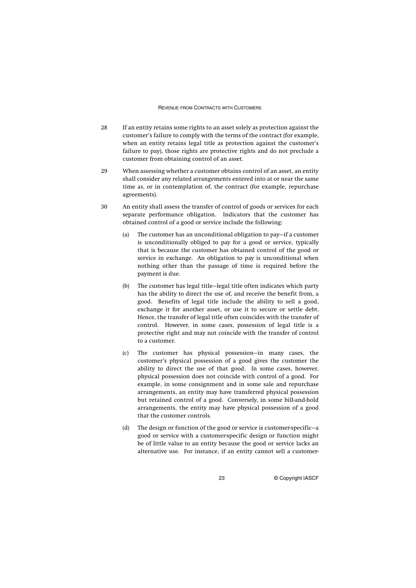- 28 If an entity retains some rights to an asset solely as protection against the customer's failure to comply with the terms of the contract (for example, when an entity retains legal title as protection against the customer's failure to pay), those rights are protective rights and do not preclude a customer from obtaining control of an asset.
- 29 When assessing whether a customer obtains control of an asset, an entity shall consider any related arrangements entered into at or near the same time as, or in contemplation of, the contract (for example, repurchase agreements).
- 30 An entity shall assess the transfer of control of goods or services for each separate performance obligation. Indicators that the customer has obtained control of a good or service include the following:
	- (a) The customer has an unconditional obligation to pay—if a customer is unconditionally obliged to pay for a good or service, typically that is because the customer has obtained control of the good or service in exchange. An obligation to pay is unconditional when nothing other than the passage of time is required before the payment is due.
	- (b) The customer has legal title—legal title often indicates which party has the ability to direct the use of, and receive the benefit from, a good. Benefits of legal title include the ability to sell a good, exchange it for another asset, or use it to secure or settle debt. Hence, the transfer of legal title often coincides with the transfer of control. However, in some cases, possession of legal title is a protective right and may not coincide with the transfer of control to a customer.
	- (c) The customer has physical possession—in many cases, the customer's physical possession of a good gives the customer the ability to direct the use of that good. In some cases, however, physical possession does not coincide with control of a good. For example, in some consignment and in some sale and repurchase arrangements, an entity may have transferred physical possession but retained control of a good. Conversely, in some bill-and-hold arrangements, the entity may have physical possession of a good that the customer controls.
	- (d) The design or function of the good or service is customer-specific—a good or service with a customer-specific design or function might be of little value to an entity because the good or service lacks an alternative use. For instance, if an entity cannot sell a customer-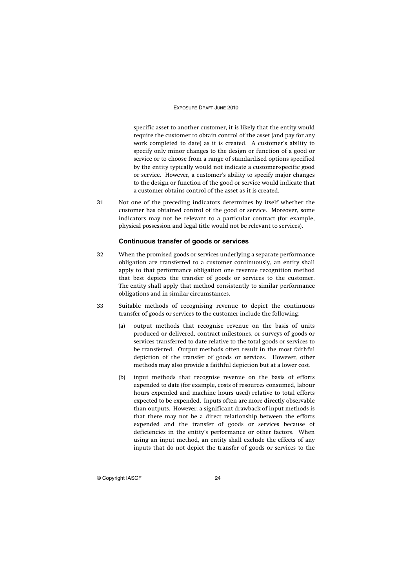specific asset to another customer, it is likely that the entity would require the customer to obtain control of the asset (and pay for any work completed to date) as it is created. A customer's ability to specify only minor changes to the design or function of a good or service or to choose from a range of standardised options specified by the entity typically would not indicate a customer-specific good or service. However, a customer's ability to specify major changes to the design or function of the good or service would indicate that a customer obtains control of the asset as it is created.

31 Not one of the preceding indicators determines by itself whether the customer has obtained control of the good or service. Moreover, some indicators may not be relevant to a particular contract (for example, physical possession and legal title would not be relevant to services).

## **Continuous transfer of goods or services**

- 32 When the promised goods or services underlying a separate performance obligation are transferred to a customer continuously, an entity shall apply to that performance obligation one revenue recognition method that best depicts the transfer of goods or services to the customer. The entity shall apply that method consistently to similar performance obligations and in similar circumstances.
- 33 Suitable methods of recognising revenue to depict the continuous transfer of goods or services to the customer include the following:
	- (a) output methods that recognise revenue on the basis of units produced or delivered, contract milestones, or surveys of goods or services transferred to date relative to the total goods or services to be transferred. Output methods often result in the most faithful depiction of the transfer of goods or services. However, other methods may also provide a faithful depiction but at a lower cost.
	- (b) input methods that recognise revenue on the basis of efforts expended to date (for example, costs of resources consumed, labour hours expended and machine hours used) relative to total efforts expected to be expended. Inputs often are more directly observable than outputs. However, a significant drawback of input methods is that there may not be a direct relationship between the efforts expended and the transfer of goods or services because of deficiencies in the entity's performance or other factors. When using an input method, an entity shall exclude the effects of any inputs that do not depict the transfer of goods or services to the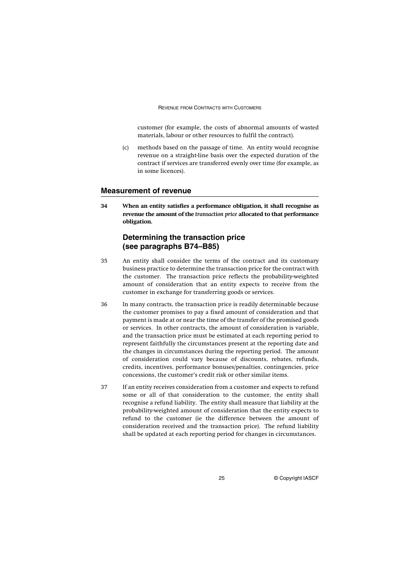customer (for example, the costs of abnormal amounts of wasted materials, labour or other resources to fulfil the contract).

(c) methods based on the passage of time. An entity would recognise revenue on a straight-line basis over the expected duration of the contract if services are transferred evenly over time (for example, as in some licences).

## **Measurement of revenue**

**34 When an entity satisfies a performance obligation, it shall recognise as revenue the amount of the** *transaction price* **allocated to that performance obligation.**

## **Determining the transaction price (see paragraphs B74–B85)**

- 35 An entity shall consider the terms of the contract and its customary business practice to determine the transaction price for the contract with the customer. The transaction price reflects the probability-weighted amount of consideration that an entity expects to receive from the customer in exchange for transferring goods or services.
- 36 In many contracts, the transaction price is readily determinable because the customer promises to pay a fixed amount of consideration and that payment is made at or near the time of the transfer of the promised goods or services. In other contracts, the amount of consideration is variable, and the transaction price must be estimated at each reporting period to represent faithfully the circumstances present at the reporting date and the changes in circumstances during the reporting period. The amount of consideration could vary because of discounts, rebates, refunds, credits, incentives, performance bonuses/penalties, contingencies, price concessions, the customer's credit risk or other similar items.
- 37 If an entity receives consideration from a customer and expects to refund some or all of that consideration to the customer, the entity shall recognise a refund liability. The entity shall measure that liability at the probability-weighted amount of consideration that the entity expects to refund to the customer (ie the difference between the amount of consideration received and the transaction price). The refund liability shall be updated at each reporting period for changes in circumstances.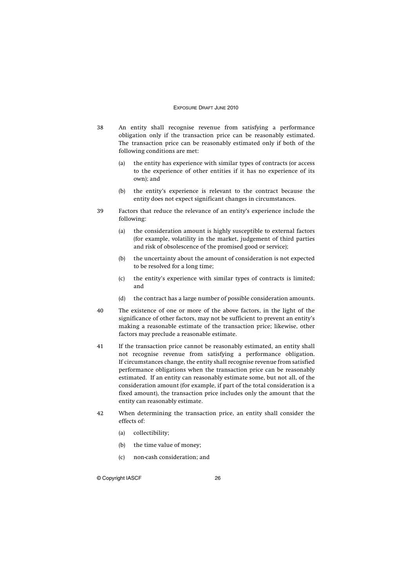- 38 An entity shall recognise revenue from satisfying a performance obligation only if the transaction price can be reasonably estimated. The transaction price can be reasonably estimated only if both of the following conditions are met:
	- (a) the entity has experience with similar types of contracts (or access to the experience of other entities if it has no experience of its own); and
	- (b) the entity's experience is relevant to the contract because the entity does not expect significant changes in circumstances.
- 39 Factors that reduce the relevance of an entity's experience include the following:
	- (a) the consideration amount is highly susceptible to external factors (for example, volatility in the market, judgement of third parties and risk of obsolescence of the promised good or service);
	- (b) the uncertainty about the amount of consideration is not expected to be resolved for a long time;
	- (c) the entity's experience with similar types of contracts is limited; and
	- (d) the contract has a large number of possible consideration amounts.
- 40 The existence of one or more of the above factors, in the light of the significance of other factors, may not be sufficient to prevent an entity's making a reasonable estimate of the transaction price; likewise, other factors may preclude a reasonable estimate.
- 41 If the transaction price cannot be reasonably estimated, an entity shall not recognise revenue from satisfying a performance obligation. If circumstances change, the entity shall recognise revenue from satisfied performance obligations when the transaction price can be reasonably estimated. If an entity can reasonably estimate some, but not all, of the consideration amount (for example, if part of the total consideration is a fixed amount), the transaction price includes only the amount that the entity can reasonably estimate.
- 42 When determining the transaction price, an entity shall consider the effects of:
	- (a) collectibility;
	- (b) the time value of money;
	- (c) non-cash consideration; and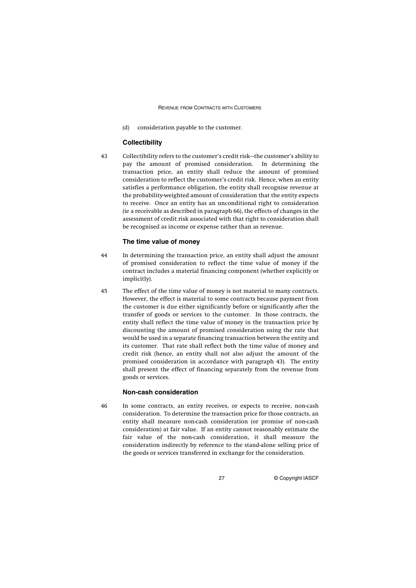(d) consideration payable to the customer.

#### **Collectibility**

43 Collectibility refers to the customer's credit risk—the customer's ability to pay the amount of promised consideration. In determining the transaction price, an entity shall reduce the amount of promised consideration to reflect the customer's credit risk. Hence, when an entity satisfies a performance obligation, the entity shall recognise revenue at the probability-weighted amount of consideration that the entity expects to receive. Once an entity has an unconditional right to consideration (ie a receivable as described in paragraph 66), the effects of changes in the assessment of credit risk associated with that right to consideration shall be recognised as income or expense rather than as revenue.

## **The time value of money**

- 44 In determining the transaction price, an entity shall adjust the amount of promised consideration to reflect the time value of money if the contract includes a material financing component (whether explicitly or implicitly).
- 45 The effect of the time value of money is not material to many contracts. However, the effect is material to some contracts because payment from the customer is due either significantly before or significantly after the transfer of goods or services to the customer. In those contracts, the entity shall reflect the time value of money in the transaction price by discounting the amount of promised consideration using the rate that would be used in a separate financing transaction between the entity and its customer. That rate shall reflect both the time value of money and credit risk (hence, an entity shall not also adjust the amount of the promised consideration in accordance with paragraph 43). The entity shall present the effect of financing separately from the revenue from goods or services.

## **Non-cash consideration**

46 In some contracts, an entity receives, or expects to receive, non-cash consideration. To determine the transaction price for those contracts, an entity shall measure non-cash consideration (or promise of non-cash consideration) at fair value. If an entity cannot reasonably estimate the fair value of the non-cash consideration, it shall measure the consideration indirectly by reference to the stand-alone selling price of the goods or services transferred in exchange for the consideration.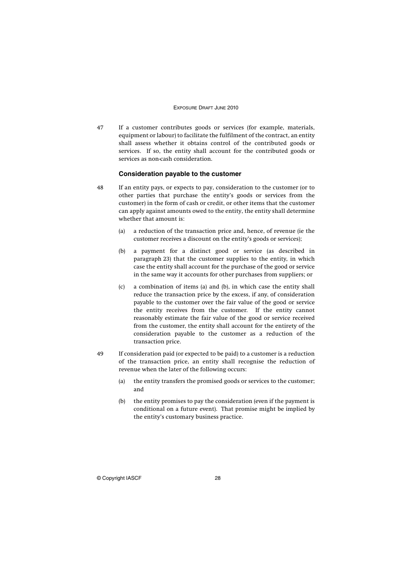47 If a customer contributes goods or services (for example, materials, equipment or labour) to facilitate the fulfilment of the contract, an entity shall assess whether it obtains control of the contributed goods or services. If so, the entity shall account for the contributed goods or services as non-cash consideration.

#### **Consideration payable to the customer**

- 48 If an entity pays, or expects to pay, consideration to the customer (or to other parties that purchase the entity's goods or services from the customer) in the form of cash or credit, or other items that the customer can apply against amounts owed to the entity, the entity shall determine whether that amount is:
	- (a) a reduction of the transaction price and, hence, of revenue (ie the customer receives a discount on the entity's goods or services);
	- (b) a payment for a distinct good or service (as described in paragraph 23) that the customer supplies to the entity, in which case the entity shall account for the purchase of the good or service in the same way it accounts for other purchases from suppliers; or
	- (c) a combination of items (a) and (b), in which case the entity shall reduce the transaction price by the excess, if any, of consideration payable to the customer over the fair value of the good or service the entity receives from the customer. If the entity cannot reasonably estimate the fair value of the good or service received from the customer, the entity shall account for the entirety of the consideration payable to the customer as a reduction of the transaction price.
- 49 If consideration paid (or expected to be paid) to a customer is a reduction of the transaction price, an entity shall recognise the reduction of revenue when the later of the following occurs:
	- (a) the entity transfers the promised goods or services to the customer; and
	- (b) the entity promises to pay the consideration (even if the payment is conditional on a future event). That promise might be implied by the entity's customary business practice.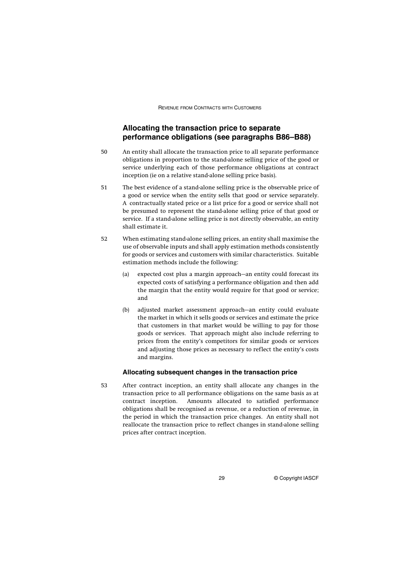## **Allocating the transaction price to separate performance obligations (see paragraphs B86–B88)**

- 50 An entity shall allocate the transaction price to all separate performance obligations in proportion to the stand-alone selling price of the good or service underlying each of those performance obligations at contract inception (ie on a relative stand-alone selling price basis).
- 51 The best evidence of a stand-alone selling price is the observable price of a good or service when the entity sells that good or service separately. A contractually stated price or a list price for a good or service shall not be presumed to represent the stand-alone selling price of that good or service. If a stand-alone selling price is not directly observable, an entity shall estimate it.
- 52 When estimating stand-alone selling prices, an entity shall maximise the use of observable inputs and shall apply estimation methods consistently for goods or services and customers with similar characteristics. Suitable estimation methods include the following:
	- (a) expected cost plus a margin approach—an entity could forecast its expected costs of satisfying a performance obligation and then add the margin that the entity would require for that good or service; and
	- (b) adjusted market assessment approach—an entity could evaluate the market in which it sells goods or services and estimate the price that customers in that market would be willing to pay for those goods or services. That approach might also include referring to prices from the entity's competitors for similar goods or services and adjusting those prices as necessary to reflect the entity's costs and margins.

## **Allocating subsequent changes in the transaction price**

53 After contract inception, an entity shall allocate any changes in the transaction price to all performance obligations on the same basis as at contract inception. Amounts allocated to satisfied performance obligations shall be recognised as revenue, or a reduction of revenue, in the period in which the transaction price changes. An entity shall not reallocate the transaction price to reflect changes in stand-alone selling prices after contract inception.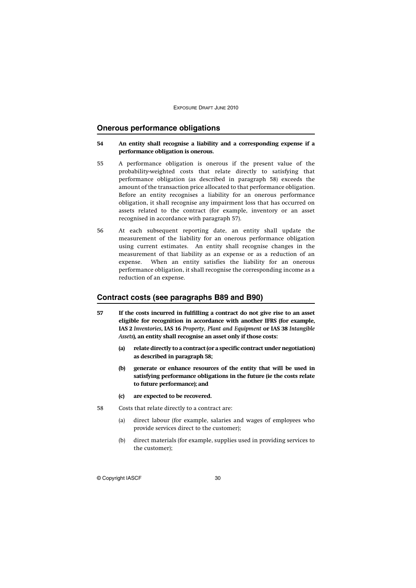## **Onerous performance obligations**

## **54 An entity shall recognise a liability and a corresponding expense if a performance obligation is onerous.**

- 55 A performance obligation is onerous if the present value of the probability-weighted costs that relate directly to satisfying that performance obligation (as described in paragraph 58) exceeds the amount of the transaction price allocated to that performance obligation. Before an entity recognises a liability for an onerous performance obligation, it shall recognise any impairment loss that has occurred on assets related to the contract (for example, inventory or an asset recognised in accordance with paragraph 57).
- 56 At each subsequent reporting date, an entity shall update the measurement of the liability for an onerous performance obligation using current estimates. An entity shall recognise changes in the measurement of that liability as an expense or as a reduction of an expense. When an entity satisfies the liability for an onerous performance obligation, it shall recognise the corresponding income as a reduction of an expense.

## **Contract costs (see paragraphs B89 and B90)**

- **57 If the costs incurred in fulfilling a contract do not give rise to an asset eligible for recognition in accordance with another IFRS (for example, IAS 2** *Inventories***, IAS 16** *Property, Plant and Equipment* **or IAS 38** *Intangible Assets***), an entity shall recognise an asset only if those costs:**
	- **(a) relate directly to a contract (or a specific contract under negotiation) as described in paragraph 58;**
	- **(b) generate or enhance resources of the entity that will be used in satisfying performance obligations in the future (ie the costs relate to future performance); and**
	- **(c) are expected to be recovered.**
- 58 Costs that relate directly to a contract are:
	- (a) direct labour (for example, salaries and wages of employees who provide services direct to the customer);
	- (b) direct materials (for example, supplies used in providing services to the customer);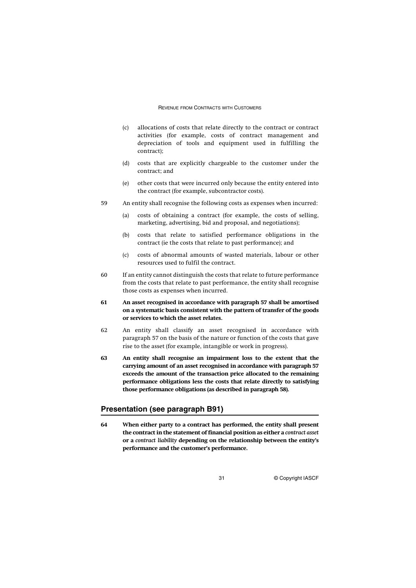- (c) allocations of costs that relate directly to the contract or contract activities (for example, costs of contract management and depreciation of tools and equipment used in fulfilling the contract);
- (d) costs that are explicitly chargeable to the customer under the contract; and
- (e) other costs that were incurred only because the entity entered into the contract (for example, subcontractor costs).
- 59 An entity shall recognise the following costs as expenses when incurred:
	- (a) costs of obtaining a contract (for example, the costs of selling, marketing, advertising, bid and proposal, and negotiations);
	- (b) costs that relate to satisfied performance obligations in the contract (ie the costs that relate to past performance); and
	- (c) costs of abnormal amounts of wasted materials, labour or other resources used to fulfil the contract.
- 60 If an entity cannot distinguish the costs that relate to future performance from the costs that relate to past performance, the entity shall recognise those costs as expenses when incurred.
- **61 An asset recognised in accordance with paragraph 57 shall be amortised on a systematic basis consistent with the pattern of transfer of the goods or services to which the asset relates.**
- 62 An entity shall classify an asset recognised in accordance with paragraph 57 on the basis of the nature or function of the costs that gave rise to the asset (for example, intangible or work in progress).
- **63 An entity shall recognise an impairment loss to the extent that the carrying amount of an asset recognised in accordance with paragraph 57 exceeds the amount of the transaction price allocated to the remaining performance obligations less the costs that relate directly to satisfying those performance obligations (as described in paragraph 58).**

## **Presentation (see paragraph B91)**

**64 When either party to a contract has performed, the entity shall present the contract in the statement of financial position as either a** *contract asset* **or a** *contract liability* **depending on the relationship between the entity's performance and the customer's performance.**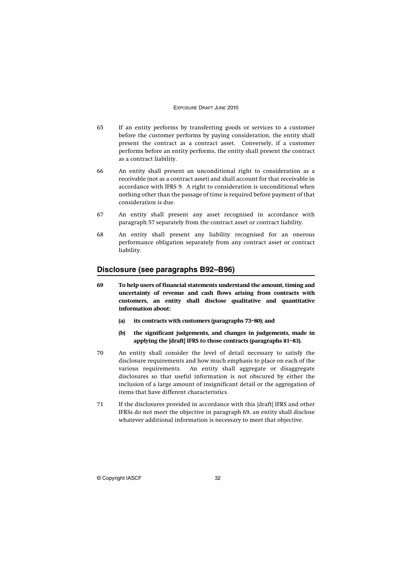- 65 If an entity performs by transferring goods or services to a customer before the customer performs by paying consideration, the entity shall present the contract as a contract asset. Conversely, if a customer performs before an entity performs, the entity shall present the contract as a contract liability.
- 66 An entity shall present an unconditional right to consideration as a receivable (not as a contract asset) and shall account for that receivable in accordance with IFRS 9. A right to consideration is unconditional when nothing other than the passage of time is required before payment of that consideration is due.
- 67 An entity shall present any asset recognised in accordance with paragraph 57 separately from the contract asset or contract liability.
- 68 An entity shall present any liability recognised for an onerous performance obligation separately from any contract asset or contract liability.

## **Disclosure (see paragraphs B92–B96)**

- **69 To help users of financial statements understand the amount, timing and uncertainty of revenue and cash flows arising from contracts with customers, an entity shall disclose qualitative and quantitative information about:**
	- **(a) its contracts with customers (paragraphs 73–80); and**
	- **(b) the significant judgements, and changes in judgements, made in applying the [draft] IFRS to those contracts (paragraphs 81–83).**
- 70 An entity shall consider the level of detail necessary to satisfy the disclosure requirements and how much emphasis to place on each of the various requirements. An entity shall aggregate or disaggregate disclosures so that useful information is not obscured by either the inclusion of a large amount of insignificant detail or the aggregation of items that have different characteristics.
- 71 If the disclosures provided in accordance with this [draft] IFRS and other IFRSs do not meet the objective in paragraph 69, an entity shall disclose whatever additional information is necessary to meet that objective.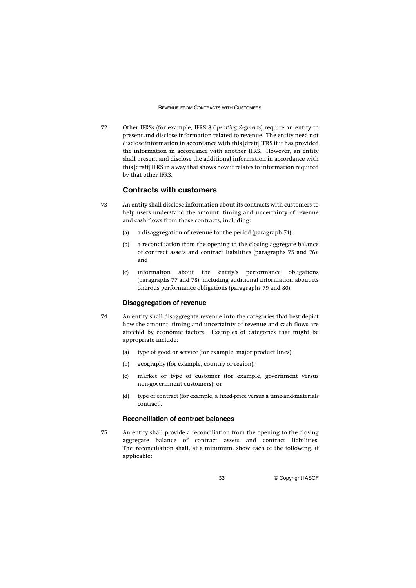72 Other IFRSs (for example, IFRS 8 *Operating Segments*) require an entity to present and disclose information related to revenue. The entity need not disclose information in accordance with this [draft] IFRS if it has provided the information in accordance with another IFRS. However, an entity shall present and disclose the additional information in accordance with this [draft] IFRS in a way that shows how it relates to information required by that other IFRS.

## **Contracts with customers**

- 73 An entity shall disclose information about its contracts with customers to help users understand the amount, timing and uncertainty of revenue and cash flows from those contracts, including:
	- (a) a disaggregation of revenue for the period (paragraph 74);
	- (b) a reconciliation from the opening to the closing aggregate balance of contract assets and contract liabilities (paragraphs 75 and 76); and
	- (c) information about the entity's performance obligations (paragraphs 77 and 78), including additional information about its onerous performance obligations (paragraphs 79 and 80).

## **Disaggregation of revenue**

- 74 An entity shall disaggregate revenue into the categories that best depict how the amount, timing and uncertainty of revenue and cash flows are affected by economic factors. Examples of categories that might be appropriate include:
	- (a) type of good or service (for example, major product lines);
	- (b) geography (for example, country or region);
	- (c) market or type of customer (for example, government versus non-government customers); or
	- (d) type of contract (for example, a fixed-price versus a time-and-materials contract).

## **Reconciliation of contract balances**

75 An entity shall provide a reconciliation from the opening to the closing aggregate balance of contract assets and contract liabilities. The reconciliation shall, at a minimum, show each of the following, if applicable: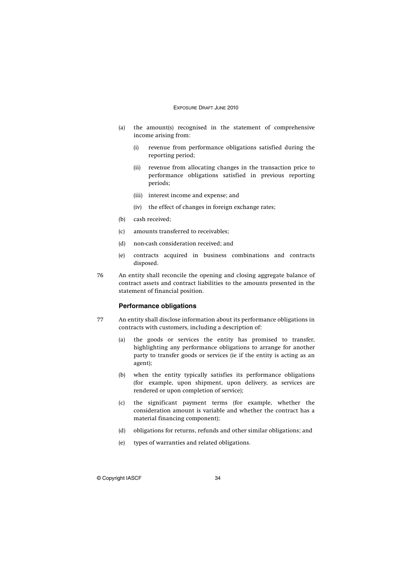- (a) the amount(s) recognised in the statement of comprehensive income arising from:
	- (i) revenue from performance obligations satisfied during the reporting period;
	- (ii) revenue from allocating changes in the transaction price to performance obligations satisfied in previous reporting periods;
	- (iii) interest income and expense; and
	- (iv) the effect of changes in foreign exchange rates;
- (b) cash received;
- (c) amounts transferred to receivables;
- (d) non-cash consideration received; and
- (e) contracts acquired in business combinations and contracts disposed.
- 76 An entity shall reconcile the opening and closing aggregate balance of contract assets and contract liabilities to the amounts presented in the statement of financial position.

## **Performance obligations**

- 77 An entity shall disclose information about its performance obligations in contracts with customers, including a description of:
	- (a) the goods or services the entity has promised to transfer, highlighting any performance obligations to arrange for another party to transfer goods or services (ie if the entity is acting as an agent);
	- (b) when the entity typically satisfies its performance obligations (for example, upon shipment, upon delivery, as services are rendered or upon completion of service);
	- (c) the significant payment terms (for example, whether the consideration amount is variable and whether the contract has a material financing component);
	- (d) obligations for returns, refunds and other similar obligations; and
	- (e) types of warranties and related obligations.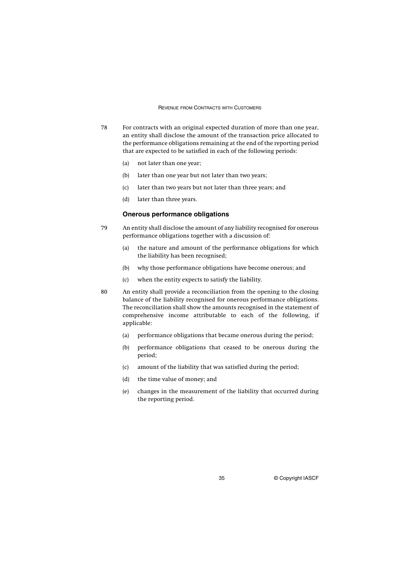- 78 For contracts with an original expected duration of more than one year, an entity shall disclose the amount of the transaction price allocated to the performance obligations remaining at the end of the reporting period that are expected to be satisfied in each of the following periods:
	- (a) not later than one year;
	- (b) later than one year but not later than two years;
	- (c) later than two years but not later than three years; and
	- (d) later than three years.

## **Onerous performance obligations**

- 79 An entity shall disclose the amount of any liability recognised for onerous performance obligations together with a discussion of:
	- (a) the nature and amount of the performance obligations for which the liability has been recognised;
	- (b) why those performance obligations have become onerous; and
	- (c) when the entity expects to satisfy the liability.
- 80 An entity shall provide a reconciliation from the opening to the closing balance of the liability recognised for onerous performance obligations. The reconciliation shall show the amounts recognised in the statement of comprehensive income attributable to each of the following, if applicable:
	- (a) performance obligations that became onerous during the period;
	- (b) performance obligations that ceased to be onerous during the period;
	- (c) amount of the liability that was satisfied during the period;
	- (d) the time value of money; and
	- (e) changes in the measurement of the liability that occurred during the reporting period.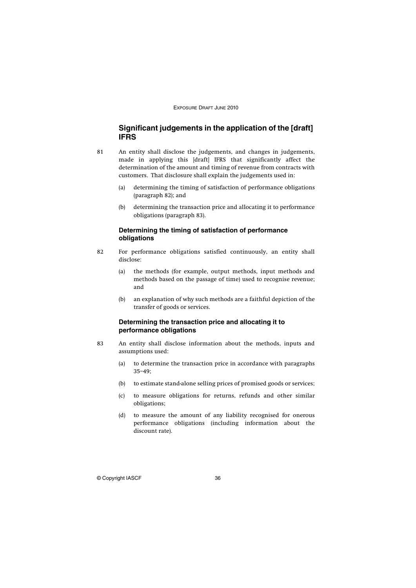## **Significant judgements in the application of the [draft] IFRS**

- 81 An entity shall disclose the judgements, and changes in judgements, made in applying this [draft] IFRS that significantly affect the determination of the amount and timing of revenue from contracts with customers. That disclosure shall explain the judgements used in:
	- (a) determining the timing of satisfaction of performance obligations (paragraph 82); and
	- (b) determining the transaction price and allocating it to performance obligations (paragraph 83).

## **Determining the timing of satisfaction of performance obligations**

- 82 For performance obligations satisfied continuously, an entity shall disclose:
	- (a) the methods (for example, output methods, input methods and methods based on the passage of time) used to recognise revenue; and
	- (b) an explanation of why such methods are a faithful depiction of the transfer of goods or services.

## **Determining the transaction price and allocating it to performance obligations**

- 83 An entity shall disclose information about the methods, inputs and assumptions used:
	- (a) to determine the transaction price in accordance with paragraphs 35–49;
	- (b) to estimate stand-alone selling prices of promised goods or services;
	- (c) to measure obligations for returns, refunds and other similar obligations;
	- (d) to measure the amount of any liability recognised for onerous performance obligations (including information about the discount rate).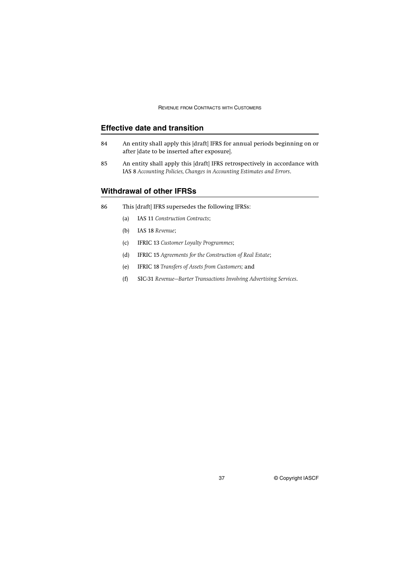## **Effective date and transition**

- 84 An entity shall apply this [draft] IFRS for annual periods beginning on or after [date to be inserted after exposure].
- 85 An entity shall apply this [draft] IFRS retrospectively in accordance with IAS 8 *Accounting Policies, Changes in Accounting Estimates and Errors*.

## **Withdrawal of other IFRSs**

- 86 This [draft] IFRS supersedes the following IFRSs:
	- (a) IAS 11 *Construction Contracts*;
	- (b) IAS 18 *Revenue*;
	- (c) IFRIC 13 *Customer Loyalty Programmes*;
	- (d) IFRIC 15 *Agreements for the Construction of Real Estate*;
	- (e) IFRIC 18 *Transfers of Assets from Customers;* and
	- (f) SIC-31 *Revenue—Barter Transactions Involving Advertising Services*.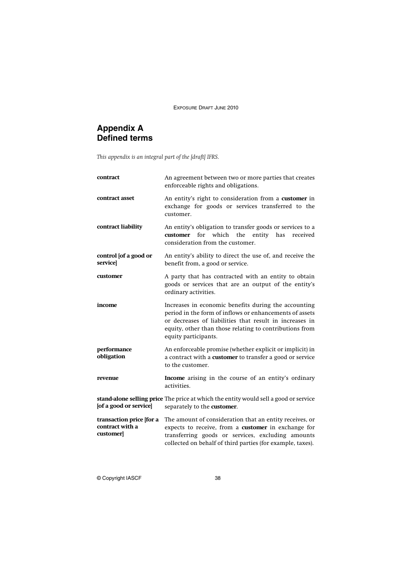# **Appendix A Defined terms**

*This appendix is an integral part of the [draft] IFRS.*

| contract                                                 | An agreement between two or more parties that creates<br>enforceable rights and obligations.                                                                                                                                                                  |  |  |
|----------------------------------------------------------|---------------------------------------------------------------------------------------------------------------------------------------------------------------------------------------------------------------------------------------------------------------|--|--|
| contract asset                                           | An entity's right to consideration from a customer in<br>exchange for goods or services transferred to the<br>customer.                                                                                                                                       |  |  |
| contract liability                                       | An entity's obligation to transfer goods or services to a<br>for<br>which<br>entity<br>customer<br>the<br>has<br>received<br>consideration from the customer.                                                                                                 |  |  |
| control [of a good or<br>service]                        | An entity's ability to direct the use of, and receive the<br>benefit from, a good or service.                                                                                                                                                                 |  |  |
| customer                                                 | A party that has contracted with an entity to obtain<br>goods or services that are an output of the entity's<br>ordinary activities.                                                                                                                          |  |  |
| income                                                   | Increases in economic benefits during the accounting<br>period in the form of inflows or enhancements of assets<br>or decreases of liabilities that result in increases in<br>equity, other than those relating to contributions from<br>equity participants. |  |  |
| performance<br>obligation                                | An enforceable promise (whether explicit or implicit) in<br>a contract with a customer to transfer a good or service<br>to the customer.                                                                                                                      |  |  |
| revenue                                                  | Income arising in the course of an entity's ordinary<br>activities.                                                                                                                                                                                           |  |  |
| [of a good or service]                                   | stand-alone selling price The price at which the entity would sell a good or service<br>separately to the customer.                                                                                                                                           |  |  |
| transaction price [for a<br>contract with a<br>customer] | The amount of consideration that an entity receives, or<br>expects to receive, from a customer in exchange for<br>transferring goods or services, excluding amounts<br>collected on behalf of third parties (for example, taxes).                             |  |  |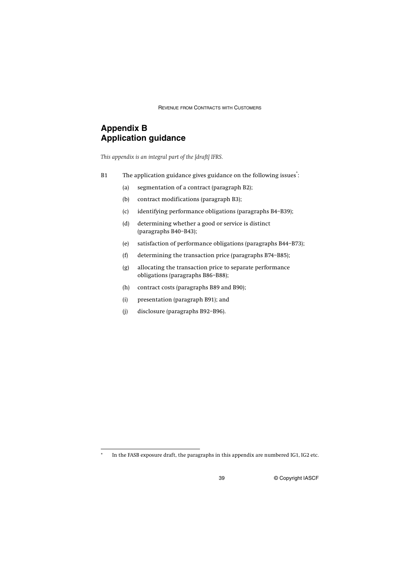# **Appendix B Application guidance**

*This appendix is an integral part of the [draft] IFRS.*

- B1 The application guidance gives guidance on the following issues<sup>\*</sup>:
	- (a) segmentation of a contract (paragraph B2);
	- (b) contract modifications (paragraph B3);
	- (c) identifying performance obligations (paragraphs B4–B39);
	- (d) determining whether a good or service is distinct (paragraphs B40–B43);
	- (e) satisfaction of performance obligations (paragraphs B44–B73);
	- (f) determining the transaction price (paragraphs B74–B85);
	- (g) allocating the transaction price to separate performance obligations (paragraphs B86–B88);
	- (h) contract costs (paragraphs B89 and B90);
	- (i) presentation (paragraph B91); and
	- (j) disclosure (paragraphs B92–B96).

In the FASB exposure draft, the paragraphs in this appendix are numbered IG1, IG2 etc.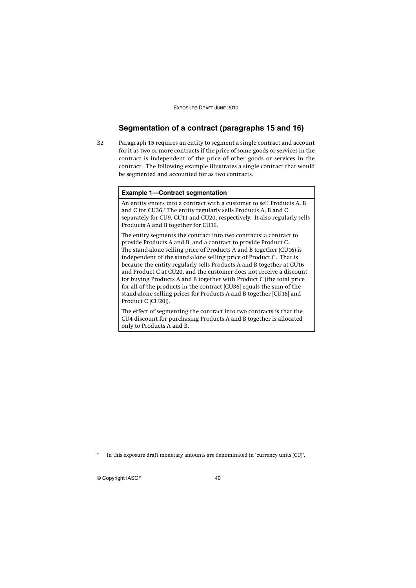## **Segmentation of a contract (paragraphs 15 and 16)**

B2 Paragraph 15 requires an entity to segment a single contract and account for it as two or more contracts if the price of some goods or services in the contract is independent of the price of other goods or services in the contract. The following example illustrates a single contract that would be segmented and accounted for as two contracts.\*

## **Example 1—Contract segmentation**

An entity enters into a contract with a customer to sell Products A, B and C for CU36.\* The entity regularly sells Products A, B and C separately for CU9, CU11 and CU20, respectively. It also regularly sells Products A and B together for CU16.

The entity segments the contract into two contracts: a contract to provide Products A and B, and a contract to provide Product C. The stand-alone selling price of Products A and B together (CU16) is independent of the stand-alone selling price of Product C. That is because the entity regularly sells Products A and B together at CU16 and Product C at CU20, and the customer does not receive a discount for buying Products A and B together with Product C (the total price for all of the products in the contract [CU36] equals the sum of the stand-alone selling prices for Products A and B together [CU16] and Product C [CU20]).

The effect of segmenting the contract into two contracts is that the CU4 discount for purchasing Products A and B together is allocated only to Products A and B.

In this exposure draft monetary amounts are denominated in 'currency units (CU)'.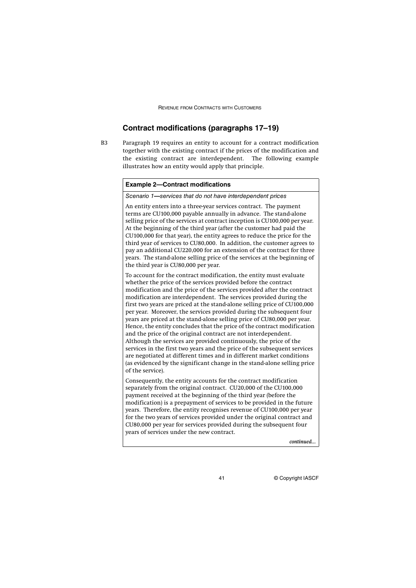## **Contract modifications (paragraphs 17–19)**

B3 Paragraph 19 requires an entity to account for a contract modification together with the existing contract if the prices of the modification and the existing contract are interdependent. The following example illustrates how an entity would apply that principle.

### **Example 2—Contract modifications**

Scenario 1**—**services that do not have interdependent prices

An entity enters into a three-year services contract. The payment terms are CU100,000 payable annually in advance. The stand-alone selling price of the services at contract inception is CU100,000 per year. At the beginning of the third year (after the customer had paid the CU100,000 for that year), the entity agrees to reduce the price for the third year of services to CU80,000. In addition, the customer agrees to pay an additional CU220,000 for an extension of the contract for three years. The stand-alone selling price of the services at the beginning of the third year is CU80,000 per year.

To account for the contract modification, the entity must evaluate whether the price of the services provided before the contract modification and the price of the services provided after the contract modification are interdependent. The services provided during the first two years are priced at the stand-alone selling price of CU100,000 per year. Moreover, the services provided during the subsequent four years are priced at the stand-alone selling price of CU80,000 per year. Hence, the entity concludes that the price of the contract modification and the price of the original contract are not interdependent. Although the services are provided continuously, the price of the services in the first two years and the price of the subsequent services are negotiated at different times and in different market conditions (as evidenced by the significant change in the stand-alone selling price of the service).

Consequently, the entity accounts for the contract modification separately from the original contract. CU20,000 of the CU100,000 payment received at the beginning of the third year (before the modification) is a prepayment of services to be provided in the future years. Therefore, the entity recognises revenue of CU100,000 per year for the two years of services provided under the original contract and CU80,000 per year for services provided during the subsequent four years of services under the new contract.

*continued...*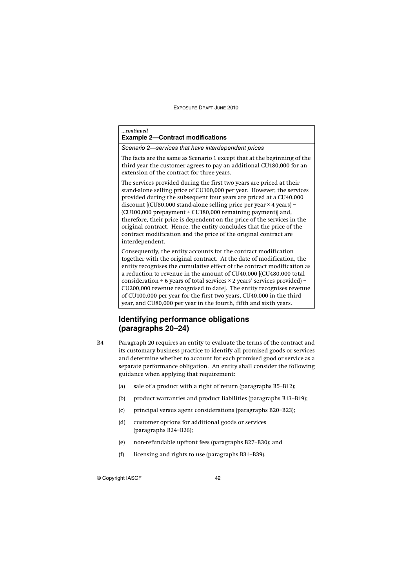#### *...continued*

|  |  | <b>Example 2-Contract modifications</b> |
|--|--|-----------------------------------------|
|--|--|-----------------------------------------|

Scenario 2**—**services that have interdependent prices

The facts are the same as Scenario 1 except that at the beginning of the third year the customer agrees to pay an additional CU180,000 for an extension of the contract for three years.

The services provided during the first two years are priced at their stand-alone selling price of CU100,000 per year. However, the services provided during the subsequent four years are priced at a CU40,000 discount [(CU80,000 stand-alone selling price per year × 4 years) –  $(CU100,000$  prepayment +  $CU180,000$  remaining payment) and, therefore, their price is dependent on the price of the services in the original contract. Hence, the entity concludes that the price of the contract modification and the price of the original contract are interdependent.

Consequently, the entity accounts for the contract modification together with the original contract. At the date of modification, the entity recognises the cumulative effect of the contract modification as a reduction to revenue in the amount of CU40,000 [(CU480,000 total consideration ÷ 6 years of total services  $\times$  2 years' services provided) – CU200,000 revenue recognised to date]. The entity recognises revenue of CU100,000 per year for the first two years, CU40,000 in the third year, and CU80,000 per year in the fourth, fifth and sixth years.

## **Identifying performance obligations (paragraphs 20–24)**

- B4 Paragraph 20 requires an entity to evaluate the terms of the contract and its customary business practice to identify all promised goods or services and determine whether to account for each promised good or service as a separate performance obligation. An entity shall consider the following guidance when applying that requirement:
	- (a) sale of a product with a right of return (paragraphs B5–B12);
	- (b) product warranties and product liabilities (paragraphs B13–B19);
	- (c) principal versus agent considerations (paragraphs B20–B23);
	- (d) customer options for additional goods or services (paragraphs B24–B26);
	- (e) non-refundable upfront fees (paragraphs B27–B30); and
	- (f) licensing and rights to use (paragraphs B31–B39).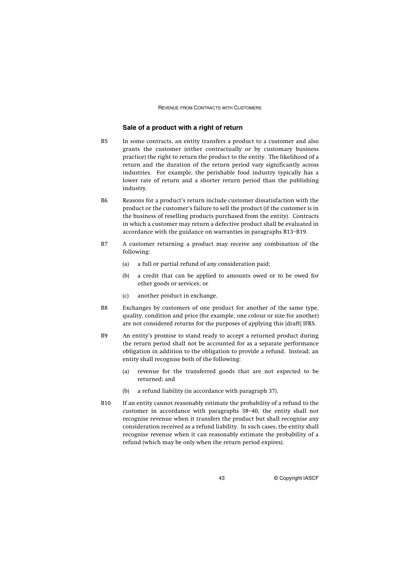## **Sale of a product with a right of return**

- B5 In some contracts, an entity transfers a product to a customer and also grants the customer (either contractually or by customary business practice) the right to return the product to the entity. The likelihood of a return and the duration of the return period vary significantly across industries. For example, the perishable food industry typically has a lower rate of return and a shorter return period than the publishing industry.
- B6 Reasons for a product's return include customer dissatisfaction with the product or the customer's failure to sell the product (if the customer is in the business of reselling products purchased from the entity). Contracts in which a customer may return a defective product shall be evaluated in accordance with the guidance on warranties in paragraphs B13–B19.
- B7 A customer returning a product may receive any combination of the following:
	- (a) a full or partial refund of any consideration paid;
	- (b) a credit that can be applied to amounts owed or to be owed for other goods or services; or
	- (c) another product in exchange.
- B8 Exchanges by customers of one product for another of the same type, quality, condition and price (for example, one colour or size for another) are not considered returns for the purposes of applying this [draft] IFRS.
- B9 An entity's promise to stand ready to accept a returned product during the return period shall not be accounted for as a separate performance obligation in addition to the obligation to provide a refund. Instead, an entity shall recognise both of the following:
	- (a) revenue for the transferred goods that are not expected to be returned; and
	- (b) a refund liability (in accordance with paragraph 37).
- B10 If an entity cannot reasonably estimate the probability of a refund to the customer in accordance with paragraphs 38–40, the entity shall not recognise revenue when it transfers the product but shall recognise any consideration received as a refund liability. In such cases, the entity shall recognise revenue when it can reasonably estimate the probability of a refund (which may be only when the return period expires).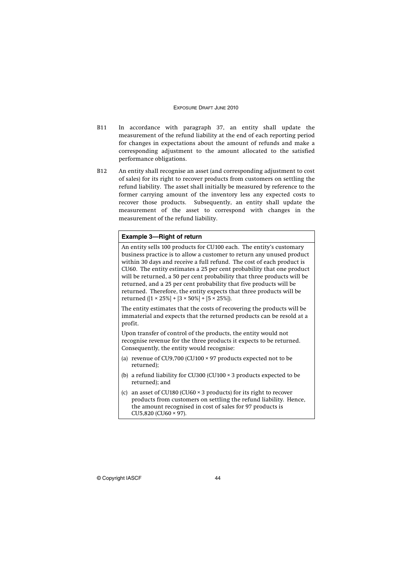- B11 In accordance with paragraph 37, an entity shall update the measurement of the refund liability at the end of each reporting period for changes in expectations about the amount of refunds and make a corresponding adjustment to the amount allocated to the satisfied performance obligations.
- B12 An entity shall recognise an asset (and corresponding adjustment to cost of sales) for its right to recover products from customers on settling the refund liability. The asset shall initially be measured by reference to the former carrying amount of the inventory less any expected costs to recover those products. Subsequently, an entity shall update the measurement of the asset to correspond with changes in the measurement of the refund liability.

### **Example 3—Right of return**

An entity sells 100 products for CU100 each. The entity's customary business practice is to allow a customer to return any unused product within 30 days and receive a full refund. The cost of each product is CU60. The entity estimates a 25 per cent probability that one product will be returned, a 50 per cent probability that three products will be returned, and a 25 per cent probability that five products will be returned. Therefore, the entity expects that three products will be returned  $([1 \times 25\%] + [3 \times 50\%] + [5 \times 25\%]).$ 

The entity estimates that the costs of recovering the products will be immaterial and expects that the returned products can be resold at a profit.

Upon transfer of control of the products, the entity would not recognise revenue for the three products it expects to be returned. Consequently, the entity would recognise:

- (a) revenue of CU9,700 (CU100 × 97 products expected not to be returned);
- (b) a refund liability for CU300 (CU100 × 3 products expected to be returned); and
- (c) an asset of CU180 (CU60 × 3 products) for its right to recover products from customers on settling the refund liability. Hence, the amount recognised in cost of sales for 97 products is CU5,820 (CU60 × 97).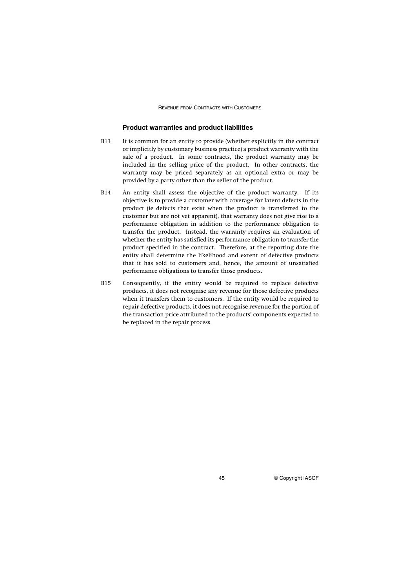### **Product warranties and product liabilities**

- B13 It is common for an entity to provide (whether explicitly in the contract or implicitly by customary business practice) a product warranty with the sale of a product. In some contracts, the product warranty may be included in the selling price of the product. In other contracts, the warranty may be priced separately as an optional extra or may be provided by a party other than the seller of the product.
- B14 An entity shall assess the objective of the product warranty. If its objective is to provide a customer with coverage for latent defects in the product (ie defects that exist when the product is transferred to the customer but are not yet apparent), that warranty does not give rise to a performance obligation in addition to the performance obligation to transfer the product. Instead, the warranty requires an evaluation of whether the entity has satisfied its performance obligation to transfer the product specified in the contract. Therefore, at the reporting date the entity shall determine the likelihood and extent of defective products that it has sold to customers and, hence, the amount of unsatisfied performance obligations to transfer those products.
- B15 Consequently, if the entity would be required to replace defective products, it does not recognise any revenue for those defective products when it transfers them to customers. If the entity would be required to repair defective products, it does not recognise revenue for the portion of the transaction price attributed to the products' components expected to be replaced in the repair process.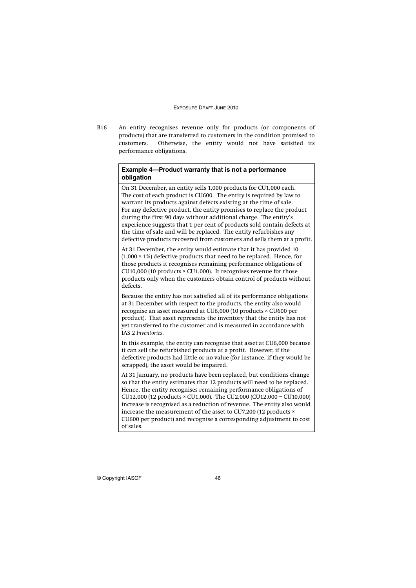B16 An entity recognises revenue only for products (or components of products) that are transferred to customers in the condition promised to customers. Otherwise, the entity would not have satisfied its performance obligations.

## **Example 4—Product warranty that is not a performance obligation**

On 31 December, an entity sells 1,000 products for CU1,000 each. The cost of each product is CU600. The entity is required by law to warrant its products against defects existing at the time of sale. For any defective product, the entity promises to replace the product during the first 90 days without additional charge. The entity's experience suggests that 1 per cent of products sold contain defects at the time of sale and will be replaced. The entity refurbishes any defective products recovered from customers and sells them at a profit.

At 31 December, the entity would estimate that it has provided 10  $(1,000 \times 1\%)$  defective products that need to be replaced. Hence, for those products it recognises remaining performance obligations of CU10,000 (10 products × CU1,000). It recognises revenue for those products only when the customers obtain control of products without defects.

Because the entity has not satisfied all of its performance obligations at 31 December with respect to the products, the entity also would recognise an asset measured at CU6,000 (10 products × CU600 per product). That asset represents the inventory that the entity has not yet transferred to the customer and is measured in accordance with IAS 2 *Inventories*.

In this example, the entity can recognise that asset at CU6,000 because it can sell the refurbished products at a profit. However, if the defective products had little or no value (for instance, if they would be scrapped), the asset would be impaired.

At 31 January, no products have been replaced, but conditions change so that the entity estimates that 12 products will need to be replaced. Hence, the entity recognises remaining performance obligations of CU12,000 (12 products × CU1,000). The CU2,000 (CU12,000 – CU10,000) increase is recognised as a reduction of revenue. The entity also would increase the measurement of the asset to CU7,200 (12 products × CU600 per product) and recognise a corresponding adjustment to cost of sales.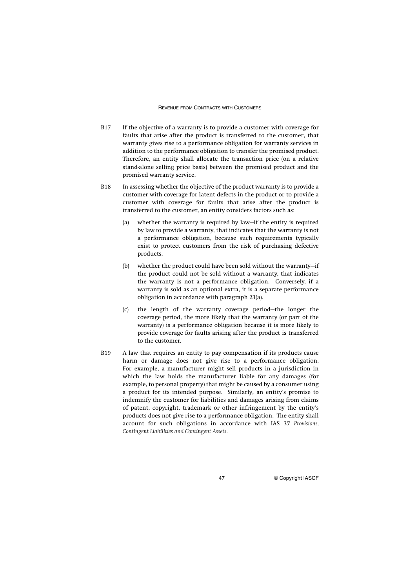- B17 If the objective of a warranty is to provide a customer with coverage for faults that arise after the product is transferred to the customer, that warranty gives rise to a performance obligation for warranty services in addition to the performance obligation to transfer the promised product. Therefore, an entity shall allocate the transaction price (on a relative stand-alone selling price basis) between the promised product and the promised warranty service.
- B18 In assessing whether the objective of the product warranty is to provide a customer with coverage for latent defects in the product or to provide a customer with coverage for faults that arise after the product is transferred to the customer, an entity considers factors such as:
	- (a) whether the warranty is required by law—if the entity is required by law to provide a warranty, that indicates that the warranty is not a performance obligation, because such requirements typically exist to protect customers from the risk of purchasing defective products.
	- (b) whether the product could have been sold without the warranty—if the product could not be sold without a warranty, that indicates the warranty is not a performance obligation. Conversely, if a warranty is sold as an optional extra, it is a separate performance obligation in accordance with paragraph 23(a).
	- (c) the length of the warranty coverage period—the longer the coverage period, the more likely that the warranty (or part of the warranty) is a performance obligation because it is more likely to provide coverage for faults arising after the product is transferred to the customer.
- B19 A law that requires an entity to pay compensation if its products cause harm or damage does not give rise to a performance obligation. For example, a manufacturer might sell products in a jurisdiction in which the law holds the manufacturer liable for any damages (for example, to personal property) that might be caused by a consumer using a product for its intended purpose. Similarly, an entity's promise to indemnify the customer for liabilities and damages arising from claims of patent, copyright, trademark or other infringement by the entity's products does not give rise to a performance obligation. The entity shall account for such obligations in accordance with IAS 37 *Provisions, Contingent Liabilities and Contingent Assets*.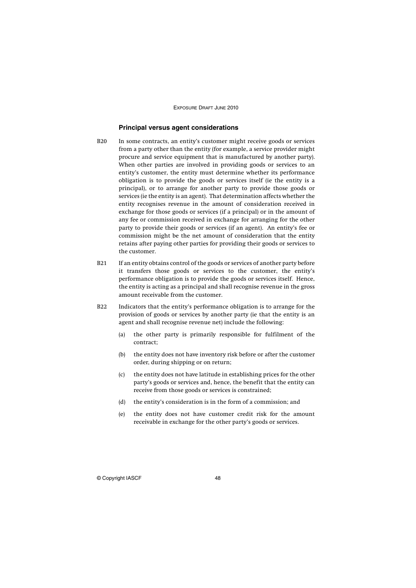## **Principal versus agent considerations**

- B20 In some contracts, an entity's customer might receive goods or services from a party other than the entity (for example, a service provider might procure and service equipment that is manufactured by another party). When other parties are involved in providing goods or services to an entity's customer, the entity must determine whether its performance obligation is to provide the goods or services itself (ie the entity is a principal), or to arrange for another party to provide those goods or services (ie the entity is an agent). That determination affects whether the entity recognises revenue in the amount of consideration received in exchange for those goods or services (if a principal) or in the amount of any fee or commission received in exchange for arranging for the other party to provide their goods or services (if an agent). An entity's fee or commission might be the net amount of consideration that the entity retains after paying other parties for providing their goods or services to the customer.
- B21 If an entity obtains control of the goods or services of another party before it transfers those goods or services to the customer, the entity's performance obligation is to provide the goods or services itself. Hence, the entity is acting as a principal and shall recognise revenue in the gross amount receivable from the customer.
- B22 Indicators that the entity's performance obligation is to arrange for the provision of goods or services by another party (ie that the entity is an agent and shall recognise revenue net) include the following:
	- (a) the other party is primarily responsible for fulfilment of the contract;
	- (b) the entity does not have inventory risk before or after the customer order, during shipping or on return;
	- (c) the entity does not have latitude in establishing prices for the other party's goods or services and, hence, the benefit that the entity can receive from those goods or services is constrained;
	- (d) the entity's consideration is in the form of a commission; and
	- (e) the entity does not have customer credit risk for the amount receivable in exchange for the other party's goods or services.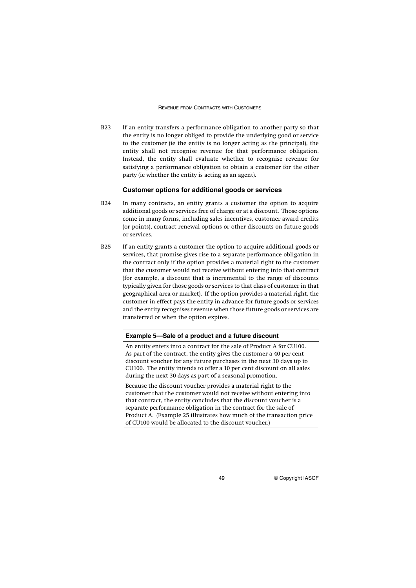B23 If an entity transfers a performance obligation to another party so that the entity is no longer obliged to provide the underlying good or service to the customer (ie the entity is no longer acting as the principal), the entity shall not recognise revenue for that performance obligation. Instead, the entity shall evaluate whether to recognise revenue for satisfying a performance obligation to obtain a customer for the other party (ie whether the entity is acting as an agent).

### **Customer options for additional goods or services**

- B24 In many contracts, an entity grants a customer the option to acquire additional goods or services free of charge or at a discount. Those options come in many forms, including sales incentives, customer award credits (or points), contract renewal options or other discounts on future goods or services.
- B25 If an entity grants a customer the option to acquire additional goods or services, that promise gives rise to a separate performance obligation in the contract only if the option provides a material right to the customer that the customer would not receive without entering into that contract (for example, a discount that is incremental to the range of discounts typically given for those goods or services to that class of customer in that geographical area or market). If the option provides a material right, the customer in effect pays the entity in advance for future goods or services and the entity recognises revenue when those future goods or services are transferred or when the option expires.

### **Example 5—Sale of a product and a future discount**

An entity enters into a contract for the sale of Product A for CU100. As part of the contract, the entity gives the customer a 40 per cent discount voucher for any future purchases in the next 30 days up to CU100. The entity intends to offer a 10 per cent discount on all sales during the next 30 days as part of a seasonal promotion.

Because the discount voucher provides a material right to the customer that the customer would not receive without entering into that contract, the entity concludes that the discount voucher is a separate performance obligation in the contract for the sale of Product A. (Example 25 illustrates how much of the transaction price of CU100 would be allocated to the discount voucher.)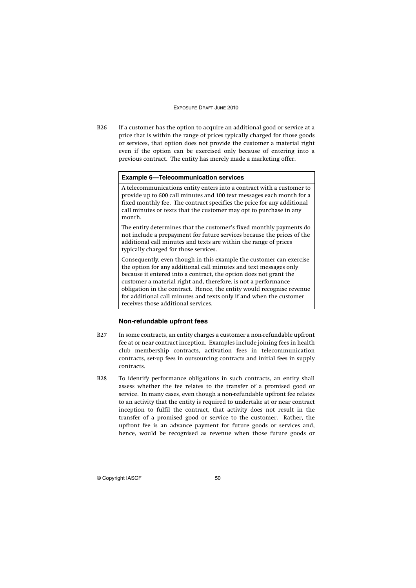B26 If a customer has the option to acquire an additional good or service at a price that is within the range of prices typically charged for those goods or services, that option does not provide the customer a material right even if the option can be exercised only because of entering into a previous contract. The entity has merely made a marketing offer.

### **Example 6—Telecommunication services**

A telecommunications entity enters into a contract with a customer to provide up to 600 call minutes and 100 text messages each month for a fixed monthly fee. The contract specifies the price for any additional call minutes or texts that the customer may opt to purchase in any month.

The entity determines that the customer's fixed monthly payments do not include a prepayment for future services because the prices of the additional call minutes and texts are within the range of prices typically charged for those services.

Consequently, even though in this example the customer can exercise the option for any additional call minutes and text messages only because it entered into a contract, the option does not grant the customer a material right and, therefore, is not a performance obligation in the contract. Hence, the entity would recognise revenue for additional call minutes and texts only if and when the customer receives those additional services.

## **Non-refundable upfront fees**

- B27 In some contracts, an entity charges a customer a non-refundable upfront fee at or near contract inception. Examples include joining fees in health club membership contracts, activation fees in telecommunication contracts, set-up fees in outsourcing contracts and initial fees in supply contracts.
- B28 To identify performance obligations in such contracts, an entity shall assess whether the fee relates to the transfer of a promised good or service. In many cases, even though a non-refundable upfront fee relates to an activity that the entity is required to undertake at or near contract inception to fulfil the contract, that activity does not result in the transfer of a promised good or service to the customer. Rather, the upfront fee is an advance payment for future goods or services and, hence, would be recognised as revenue when those future goods or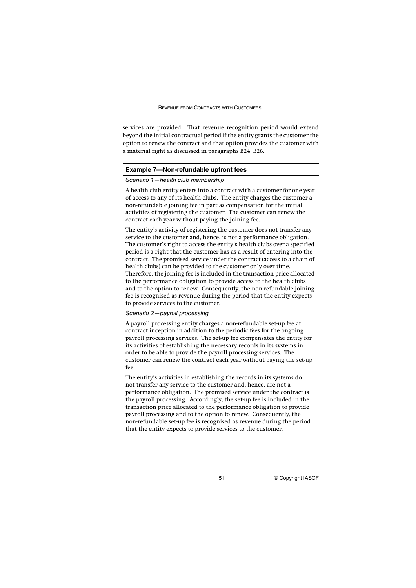services are provided. That revenue recognition period would extend beyond the initial contractual period if the entity grants the customer the option to renew the contract and that option provides the customer with a material right as discussed in paragraphs B24–B26.

### **Example 7—Non-refundable upfront fees**

## Scenario 1—health club membership

A health club entity enters into a contract with a customer for one year of access to any of its health clubs. The entity charges the customer a non-refundable joining fee in part as compensation for the initial activities of registering the customer. The customer can renew the contract each year without paying the joining fee.

The entity's activity of registering the customer does not transfer any service to the customer and, hence, is not a performance obligation. The customer's right to access the entity's health clubs over a specified period is a right that the customer has as a result of entering into the contract. The promised service under the contract (access to a chain of health clubs) can be provided to the customer only over time. Therefore, the joining fee is included in the transaction price allocated to the performance obligation to provide access to the health clubs and to the option to renew. Consequently, the non-refundable joining fee is recognised as revenue during the period that the entity expects to provide services to the customer.

## Scenario 2—payroll processing

A payroll processing entity charges a non-refundable set-up fee at contract inception in addition to the periodic fees for the ongoing payroll processing services. The set-up fee compensates the entity for its activities of establishing the necessary records in its systems in order to be able to provide the payroll processing services. The customer can renew the contract each year without paying the set-up fee.

The entity's activities in establishing the records in its systems do not transfer any service to the customer and, hence, are not a performance obligation. The promised service under the contract is the payroll processing. Accordingly, the set-up fee is included in the transaction price allocated to the performance obligation to provide payroll processing and to the option to renew. Consequently, the non-refundable set-up fee is recognised as revenue during the period that the entity expects to provide services to the customer.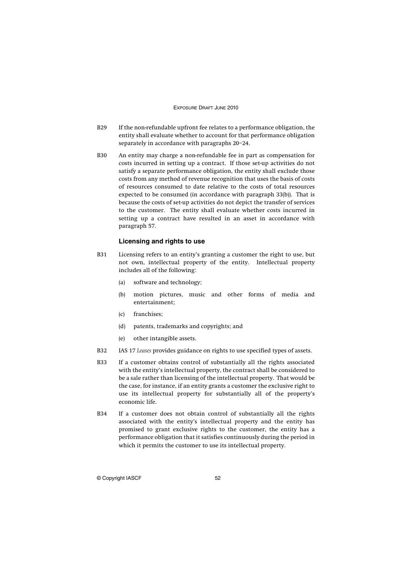- B29 If the non-refundable upfront fee relates to a performance obligation, the entity shall evaluate whether to account for that performance obligation separately in accordance with paragraphs 20–24.
- B30 An entity may charge a non-refundable fee in part as compensation for costs incurred in setting up a contract. If those set-up activities do not satisfy a separate performance obligation, the entity shall exclude those costs from any method of revenue recognition that uses the basis of costs of resources consumed to date relative to the costs of total resources expected to be consumed (in accordance with paragraph 33(b)). That is because the costs of set-up activities do not depict the transfer of services to the customer. The entity shall evaluate whether costs incurred in setting up a contract have resulted in an asset in accordance with paragraph 57.

### **Licensing and rights to use**

- B31 Licensing refers to an entity's granting a customer the right to use, but not own, intellectual property of the entity. Intellectual property includes all of the following:
	- (a) software and technology;
	- (b) motion pictures, music and other forms of media and entertainment;
	- (c) franchises;
	- (d) patents, trademarks and copyrights; and
	- (e) other intangible assets.
- B32 IAS 17 *Leases* provides guidance on rights to use specified types of assets.
- B33 If a customer obtains control of substantially all the rights associated with the entity's intellectual property, the contract shall be considered to be a sale rather than licensing of the intellectual property. That would be the case, for instance, if an entity grants a customer the exclusive right to use its intellectual property for substantially all of the property's economic life.
- B34 If a customer does not obtain control of substantially all the rights associated with the entity's intellectual property and the entity has promised to grant exclusive rights to the customer, the entity has a performance obligation that it satisfies continuously during the period in which it permits the customer to use its intellectual property.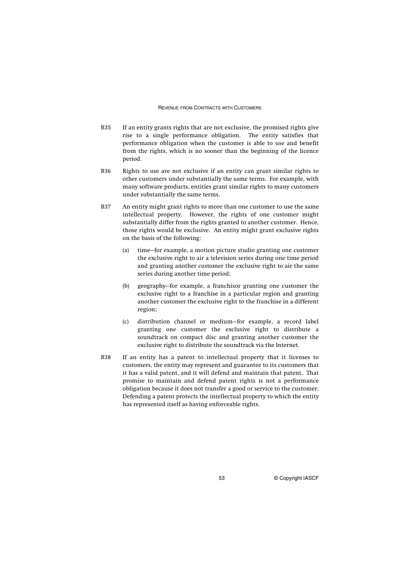- B35 If an entity grants rights that are not exclusive, the promised rights give rise to a single performance obligation. The entity satisfies that performance obligation when the customer is able to use and benefit from the rights, which is no sooner than the beginning of the licence period.
- B36 Rights to use are not exclusive if an entity can grant similar rights to other customers under substantially the same terms. For example, with many software products, entities grant similar rights to many customers under substantially the same terms.
- B37 An entity might grant rights to more than one customer to use the same intellectual property. However, the rights of one customer might substantially differ from the rights granted to another customer. Hence, those rights would be exclusive. An entity might grant exclusive rights on the basis of the following:
	- (a) time—for example, a motion picture studio granting one customer the exclusive right to air a television series during one time period and granting another customer the exclusive right to air the same series during another time period;
	- (b) geography—for example, a franchisor granting one customer the exclusive right to a franchise in a particular region and granting another customer the exclusive right to the franchise in a different region;
	- (c) distribution channel or medium—for example, a record label granting one customer the exclusive right to distribute a soundtrack on compact disc and granting another customer the exclusive right to distribute the soundtrack via the Internet.
- B38 If an entity has a patent to intellectual property that it licenses to customers, the entity may represent and guarantee to its customers that it has a valid patent, and it will defend and maintain that patent. That promise to maintain and defend patent rights is not a performance obligation because it does not transfer a good or service to the customer. Defending a patent protects the intellectual property to which the entity has represented itself as having enforceable rights.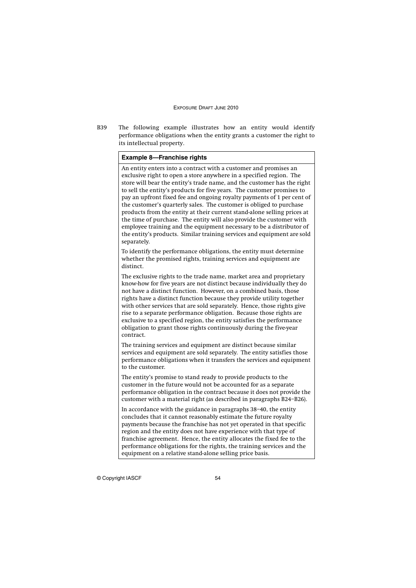B39 The following example illustrates how an entity would identify performance obligations when the entity grants a customer the right to its intellectual property.

## **Example 8—Franchise rights**

An entity enters into a contract with a customer and promises an exclusive right to open a store anywhere in a specified region. The store will bear the entity's trade name, and the customer has the right to sell the entity's products for five years. The customer promises to pay an upfront fixed fee and ongoing royalty payments of 1 per cent of the customer's quarterly sales. The customer is obliged to purchase products from the entity at their current stand-alone selling prices at the time of purchase. The entity will also provide the customer with employee training and the equipment necessary to be a distributor of the entity's products. Similar training services and equipment are sold separately.

To identify the performance obligations, the entity must determine whether the promised rights, training services and equipment are distinct.

The exclusive rights to the trade name, market area and proprietary know-how for five years are not distinct because individually they do not have a distinct function. However, on a combined basis, those rights have a distinct function because they provide utility together with other services that are sold separately. Hence, those rights give rise to a separate performance obligation. Because those rights are exclusive to a specified region, the entity satisfies the performance obligation to grant those rights continuously during the five-year contract.

The training services and equipment are distinct because similar services and equipment are sold separately. The entity satisfies those performance obligations when it transfers the services and equipment to the customer.

The entity's promise to stand ready to provide products to the customer in the future would not be accounted for as a separate performance obligation in the contract because it does not provide the customer with a material right (as described in paragraphs B24–B26).

In accordance with the guidance in paragraphs 38–40, the entity concludes that it cannot reasonably estimate the future royalty payments because the franchise has not yet operated in that specific region and the entity does not have experience with that type of franchise agreement. Hence, the entity allocates the fixed fee to the performance obligations for the rights, the training services and the equipment on a relative stand-alone selling price basis.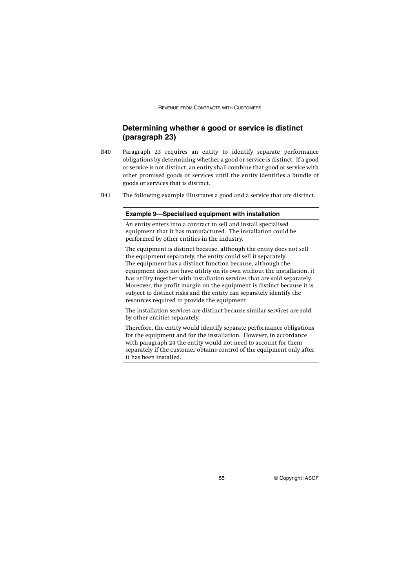## **Determining whether a good or service is distinct (paragraph 23)**

- B40 Paragraph 23 requires an entity to identify separate performance obligations by determining whether a good or service is distinct. If a good or service is not distinct, an entity shall combine that good or service with other promised goods or services until the entity identifies a bundle of goods or services that is distinct.
- B41 The following example illustrates a good and a service that are distinct.

### **Example 9—Specialised equipment with installation**

An entity enters into a contract to sell and install specialised equipment that it has manufactured. The installation could be performed by other entities in the industry.

The equipment is distinct because, although the entity does not sell the equipment separately, the entity could sell it separately. The equipment has a distinct function because, although the equipment does not have utility on its own without the installation, it has utility together with installation services that are sold separately. Moreover, the profit margin on the equipment is distinct because it is subject to distinct risks and the entity can separately identify the resources required to provide the equipment.

The installation services are distinct because similar services are sold by other entities separately.

Therefore, the entity would identify separate performance obligations for the equipment and for the installation. However, in accordance with paragraph 24 the entity would not need to account for them separately if the customer obtains control of the equipment only after it has been installed.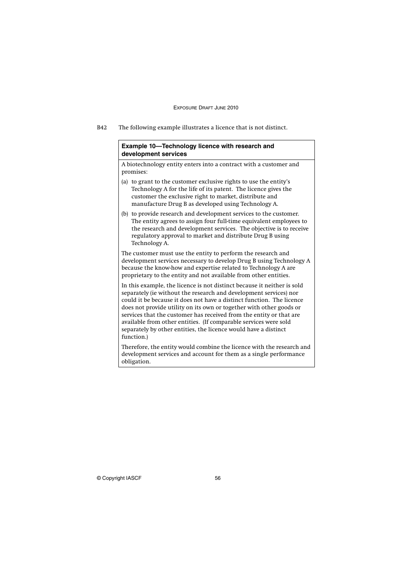B42 The following example illustrates a licence that is not distinct.

## **Example 10—Technology licence with research and development services**

A biotechnology entity enters into a contract with a customer and promises:

- (a) to grant to the customer exclusive rights to use the entity's Technology A for the life of its patent. The licence gives the customer the exclusive right to market, distribute and manufacture Drug B as developed using Technology A.
- (b) to provide research and development services to the customer. The entity agrees to assign four full-time equivalent employees to the research and development services. The objective is to receive regulatory approval to market and distribute Drug B using Technology A.

The customer must use the entity to perform the research and development services necessary to develop Drug B using Technology A because the know-how and expertise related to Technology A are proprietary to the entity and not available from other entities.

In this example, the licence is not distinct because it neither is sold separately (ie without the research and development services) nor could it be because it does not have a distinct function. The licence does not provide utility on its own or together with other goods or services that the customer has received from the entity or that are available from other entities. (If comparable services were sold separately by other entities, the licence would have a distinct function.)

Therefore, the entity would combine the licence with the research and development services and account for them as a single performance obligation.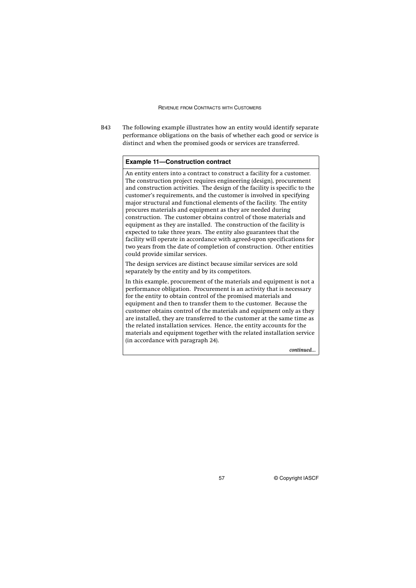B43 The following example illustrates how an entity would identify separate performance obligations on the basis of whether each good or service is distinct and when the promised goods or services are transferred.

### **Example 11—Construction contract**

An entity enters into a contract to construct a facility for a customer. The construction project requires engineering (design), procurement and construction activities. The design of the facility is specific to the customer's requirements, and the customer is involved in specifying major structural and functional elements of the facility. The entity procures materials and equipment as they are needed during construction. The customer obtains control of those materials and equipment as they are installed. The construction of the facility is expected to take three years. The entity also guarantees that the facility will operate in accordance with agreed-upon specifications for two years from the date of completion of construction. Other entities could provide similar services.

The design services are distinct because similar services are sold separately by the entity and by its competitors.

In this example, procurement of the materials and equipment is not a performance obligation. Procurement is an activity that is necessary for the entity to obtain control of the promised materials and equipment and then to transfer them to the customer. Because the customer obtains control of the materials and equipment only as they are installed, they are transferred to the customer at the same time as the related installation services. Hence, the entity accounts for the materials and equipment together with the related installation service (in accordance with paragraph 24).

*continued...*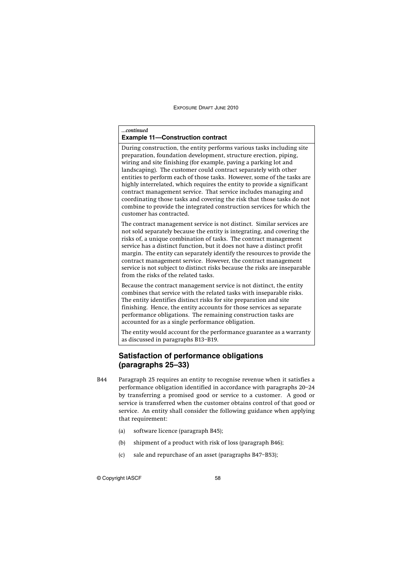### *...continued*

### **Example 11—Construction contract**

During construction, the entity performs various tasks including site preparation, foundation development, structure erection, piping, wiring and site finishing (for example, paving a parking lot and landscaping). The customer could contract separately with other entities to perform each of those tasks. However, some of the tasks are highly interrelated, which requires the entity to provide a significant contract management service. That service includes managing and coordinating those tasks and covering the risk that those tasks do not combine to provide the integrated construction services for which the customer has contracted.

The contract management service is not distinct. Similar services are not sold separately because the entity is integrating, and covering the risks of, a unique combination of tasks. The contract management service has a distinct function, but it does not have a distinct profit margin. The entity can separately identify the resources to provide the contract management service. However, the contract management service is not subject to distinct risks because the risks are inseparable from the risks of the related tasks.

Because the contract management service is not distinct, the entity combines that service with the related tasks with inseparable risks. The entity identifies distinct risks for site preparation and site finishing. Hence, the entity accounts for those services as separate performance obligations. The remaining construction tasks are accounted for as a single performance obligation.

The entity would account for the performance guarantee as a warranty as discussed in paragraphs B13–B19.

## **Satisfaction of performance obligations (paragraphs 25–33)**

- B44 Paragraph 25 requires an entity to recognise revenue when it satisfies a performance obligation identified in accordance with paragraphs 20–24 by transferring a promised good or service to a customer. A good or service is transferred when the customer obtains control of that good or service. An entity shall consider the following guidance when applying that requirement:
	- (a) software licence (paragraph B45);
	- (b) shipment of a product with risk of loss (paragraph B46);
	- (c) sale and repurchase of an asset (paragraphs B47–B53);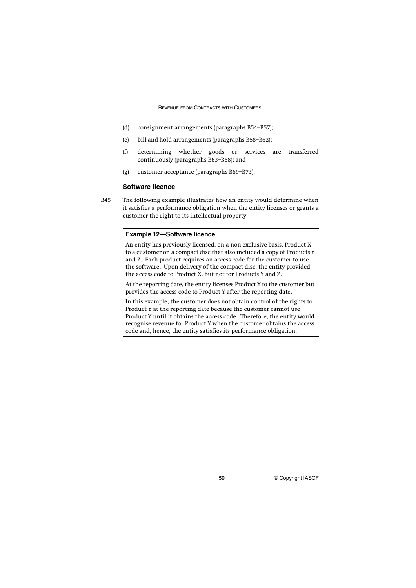- (d) consignment arrangements (paragraphs B54–B57);
- (e) bill-and-hold arrangements (paragraphs B58–B62);
- (f) determining whether goods or services are transferred continuously (paragraphs B63–B68); and
- (g) customer acceptance (paragraphs B69–B73).

## **Software licence**

B45 The following example illustrates how an entity would determine when it satisfies a performance obligation when the entity licenses or grants a customer the right to its intellectual property.

### **Example 12—Software licence**

An entity has previously licensed, on a non-exclusive basis, Product X to a customer on a compact disc that also included a copy of Products Y and Z. Each product requires an access code for the customer to use the software. Upon delivery of the compact disc, the entity provided the access code to Product X, but not for Products Y and Z.

At the reporting date, the entity licenses Product Y to the customer but provides the access code to Product Y after the reporting date.

In this example, the customer does not obtain control of the rights to Product Y at the reporting date because the customer cannot use Product Y until it obtains the access code. Therefore, the entity would recognise revenue for Product Y when the customer obtains the access code and, hence, the entity satisfies its performance obligation.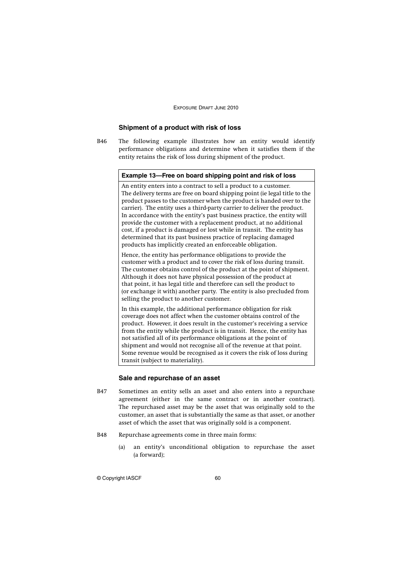## **Shipment of a product with risk of loss**

B46 The following example illustrates how an entity would identify performance obligations and determine when it satisfies them if the entity retains the risk of loss during shipment of the product.

### **Example 13—Free on board shipping point and risk of loss**

An entity enters into a contract to sell a product to a customer. The delivery terms are free on board shipping point (ie legal title to the product passes to the customer when the product is handed over to the carrier). The entity uses a third-party carrier to deliver the product. In accordance with the entity's past business practice, the entity will provide the customer with a replacement product, at no additional cost, if a product is damaged or lost while in transit. The entity has determined that its past business practice of replacing damaged products has implicitly created an enforceable obligation.

Hence, the entity has performance obligations to provide the customer with a product and to cover the risk of loss during transit. The customer obtains control of the product at the point of shipment. Although it does not have physical possession of the product at that point, it has legal title and therefore can sell the product to (or exchange it with) another party. The entity is also precluded from selling the product to another customer.

In this example, the additional performance obligation for risk coverage does not affect when the customer obtains control of the product. However, it does result in the customer's receiving a service from the entity while the product is in transit. Hence, the entity has not satisfied all of its performance obligations at the point of shipment and would not recognise all of the revenue at that point. Some revenue would be recognised as it covers the risk of loss during transit (subject to materiality).

### **Sale and repurchase of an asset**

- B47 Sometimes an entity sells an asset and also enters into a repurchase agreement (either in the same contract or in another contract). The repurchased asset may be the asset that was originally sold to the customer, an asset that is substantially the same as that asset, or another asset of which the asset that was originally sold is a component.
- B48 Repurchase agreements come in three main forms:
	- (a) an entity's unconditional obligation to repurchase the asset (a forward);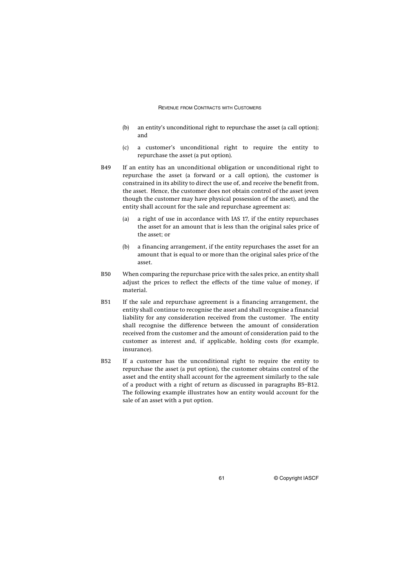- (b) an entity's unconditional right to repurchase the asset (a call option); and
- (c) a customer's unconditional right to require the entity to repurchase the asset (a put option).
- B49 If an entity has an unconditional obligation or unconditional right to repurchase the asset (a forward or a call option), the customer is constrained in its ability to direct the use of, and receive the benefit from, the asset. Hence, the customer does not obtain control of the asset (even though the customer may have physical possession of the asset), and the entity shall account for the sale and repurchase agreement as:
	- (a) a right of use in accordance with IAS 17, if the entity repurchases the asset for an amount that is less than the original sales price of the asset; or
	- (b) a financing arrangement, if the entity repurchases the asset for an amount that is equal to or more than the original sales price of the asset.
- B50 When comparing the repurchase price with the sales price, an entity shall adjust the prices to reflect the effects of the time value of money, if material.
- B51 If the sale and repurchase agreement is a financing arrangement, the entity shall continue to recognise the asset and shall recognise a financial liability for any consideration received from the customer. The entity shall recognise the difference between the amount of consideration received from the customer and the amount of consideration paid to the customer as interest and, if applicable, holding costs (for example, insurance).
- B52 If a customer has the unconditional right to require the entity to repurchase the asset (a put option), the customer obtains control of the asset and the entity shall account for the agreement similarly to the sale of a product with a right of return as discussed in paragraphs B5–B12. The following example illustrates how an entity would account for the sale of an asset with a put option.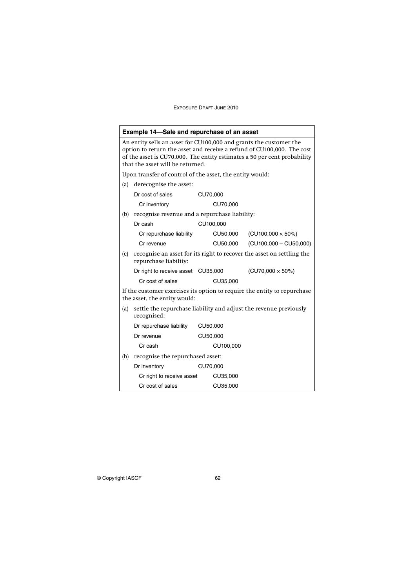|                                                                                                                                                                                                                                                              | <b>Example 14–Sale and repurchase of an asset</b>                                              |          |           |                           |  |  |  |
|--------------------------------------------------------------------------------------------------------------------------------------------------------------------------------------------------------------------------------------------------------------|------------------------------------------------------------------------------------------------|----------|-----------|---------------------------|--|--|--|
| An entity sells an asset for CU100,000 and grants the customer the<br>option to return the asset and receive a refund of CU100,000. The cost<br>of the asset is CU70,000. The entity estimates a 50 per cent probability<br>that the asset will be returned. |                                                                                                |          |           |                           |  |  |  |
|                                                                                                                                                                                                                                                              | Upon transfer of control of the asset, the entity would:                                       |          |           |                           |  |  |  |
| (a)                                                                                                                                                                                                                                                          | derecognise the asset:                                                                         |          |           |                           |  |  |  |
|                                                                                                                                                                                                                                                              | Dr cost of sales                                                                               | CU70,000 |           |                           |  |  |  |
|                                                                                                                                                                                                                                                              | Cr inventory                                                                                   |          | CU70,000  |                           |  |  |  |
| (b)                                                                                                                                                                                                                                                          | recognise revenue and a repurchase liability:                                                  |          |           |                           |  |  |  |
|                                                                                                                                                                                                                                                              | CU100,000<br>Dr cash                                                                           |          |           |                           |  |  |  |
|                                                                                                                                                                                                                                                              | Cr repurchase liability                                                                        |          | CU50,000  | $(CU100,000 \times 50\%)$ |  |  |  |
|                                                                                                                                                                                                                                                              | Cr revenue                                                                                     |          | CU50,000  | $(CU100,000 - CU50,000)$  |  |  |  |
| (c)                                                                                                                                                                                                                                                          | recognise an asset for its right to recover the asset on settling the<br>repurchase liability: |          |           |                           |  |  |  |
|                                                                                                                                                                                                                                                              | Dr right to receive asset CU35,000                                                             |          |           | $(CU70,000 \times 50\%)$  |  |  |  |
|                                                                                                                                                                                                                                                              | Cr cost of sales                                                                               |          | CU35,000  |                           |  |  |  |
| If the customer exercises its option to require the entity to repurchase<br>the asset, the entity would:                                                                                                                                                     |                                                                                                |          |           |                           |  |  |  |
| (a)                                                                                                                                                                                                                                                          | settle the repurchase liability and adjust the revenue previously<br>recognised:               |          |           |                           |  |  |  |
|                                                                                                                                                                                                                                                              | Dr repurchase liability                                                                        |          | CU50,000  |                           |  |  |  |
|                                                                                                                                                                                                                                                              | Dr revenue                                                                                     |          | CU50,000  |                           |  |  |  |
|                                                                                                                                                                                                                                                              | Cr cash                                                                                        |          | CU100.000 |                           |  |  |  |
| (b)                                                                                                                                                                                                                                                          | recognise the repurchased asset:                                                               |          |           |                           |  |  |  |
|                                                                                                                                                                                                                                                              | Dr inventory                                                                                   |          | CU70,000  |                           |  |  |  |
|                                                                                                                                                                                                                                                              | Cr right to receive asset                                                                      |          | CU35,000  |                           |  |  |  |
|                                                                                                                                                                                                                                                              | Cr cost of sales                                                                               |          | CU35,000  |                           |  |  |  |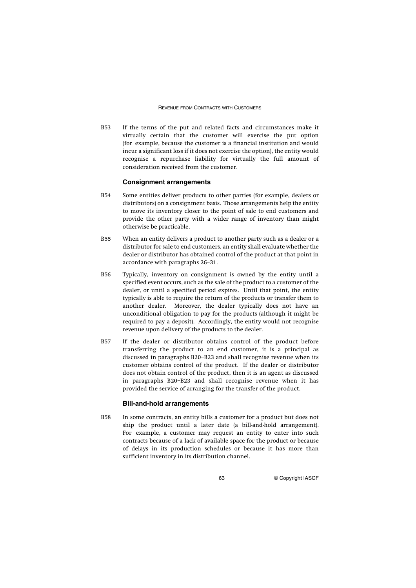B53 If the terms of the put and related facts and circumstances make it virtually certain that the customer will exercise the put option (for example, because the customer is a financial institution and would incur a significant loss if it does not exercise the option), the entity would recognise a repurchase liability for virtually the full amount of consideration received from the customer.

### **Consignment arrangements**

- B54 Some entities deliver products to other parties (for example, dealers or distributors) on a consignment basis. Those arrangements help the entity to move its inventory closer to the point of sale to end customers and provide the other party with a wider range of inventory than might otherwise be practicable.
- B55 When an entity delivers a product to another party such as a dealer or a distributor for sale to end customers, an entity shall evaluate whether the dealer or distributor has obtained control of the product at that point in accordance with paragraphs 26–31.
- B56 Typically, inventory on consignment is owned by the entity until a specified event occurs, such as the sale of the product to a customer of the dealer, or until a specified period expires. Until that point, the entity typically is able to require the return of the products or transfer them to another dealer. Moreover, the dealer typically does not have an unconditional obligation to pay for the products (although it might be required to pay a deposit). Accordingly, the entity would not recognise revenue upon delivery of the products to the dealer.
- B57 If the dealer or distributor obtains control of the product before transferring the product to an end customer, it is a principal as discussed in paragraphs B20–B23 and shall recognise revenue when its customer obtains control of the product. If the dealer or distributor does not obtain control of the product, then it is an agent as discussed in paragraphs B20–B23 and shall recognise revenue when it has provided the service of arranging for the transfer of the product.

### **Bill-and-hold arrangements**

B58 In some contracts, an entity bills a customer for a product but does not ship the product until a later date (a bill-and-hold arrangement). For example, a customer may request an entity to enter into such contracts because of a lack of available space for the product or because of delays in its production schedules or because it has more than sufficient inventory in its distribution channel.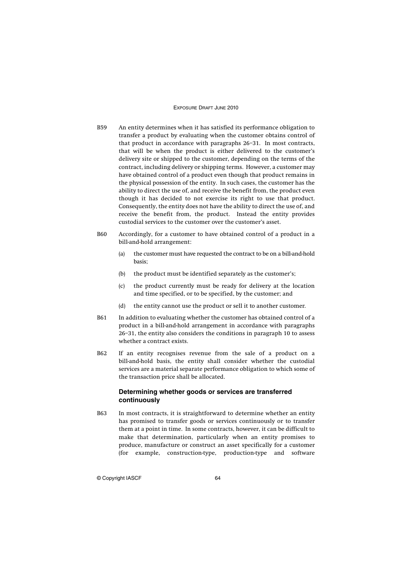- B59 An entity determines when it has satisfied its performance obligation to transfer a product by evaluating when the customer obtains control of that product in accordance with paragraphs 26–31. In most contracts, that will be when the product is either delivered to the customer's delivery site or shipped to the customer, depending on the terms of the contract, including delivery or shipping terms. However, a customer may have obtained control of a product even though that product remains in the physical possession of the entity. In such cases, the customer has the ability to direct the use of, and receive the benefit from, the product even though it has decided to not exercise its right to use that product. Consequently, the entity does not have the ability to direct the use of, and receive the benefit from, the product. Instead the entity provides custodial services to the customer over the customer's asset.
- B60 Accordingly, for a customer to have obtained control of a product in a bill-and-hold arrangement:
	- (a) the customer must have requested the contract to be on a bill-and-hold basis;
	- (b) the product must be identified separately as the customer's;
	- (c) the product currently must be ready for delivery at the location and time specified, or to be specified, by the customer; and
	- (d) the entity cannot use the product or sell it to another customer.
- B61 In addition to evaluating whether the customer has obtained control of a product in a bill-and-hold arrangement in accordance with paragraphs 26–31, the entity also considers the conditions in paragraph 10 to assess whether a contract exists.
- B62 If an entity recognises revenue from the sale of a product on a bill-and-hold basis, the entity shall consider whether the custodial services are a material separate performance obligation to which some of the transaction price shall be allocated.

## **Determining whether goods or services are transferred continuously**

B63 In most contracts, it is straightforward to determine whether an entity has promised to transfer goods or services continuously or to transfer them at a point in time. In some contracts, however, it can be difficult to make that determination, particularly when an entity promises to produce, manufacture or construct an asset specifically for a customer (for example, construction-type, production-type and software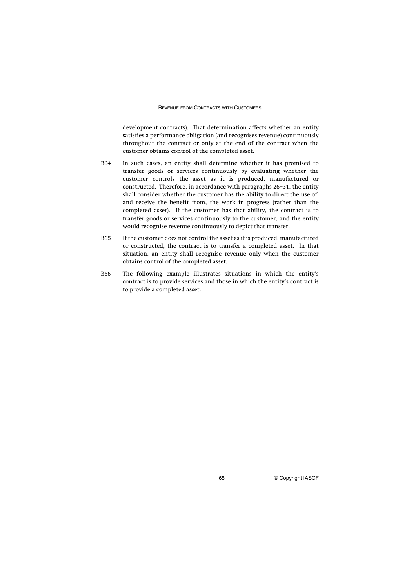development contracts). That determination affects whether an entity satisfies a performance obligation (and recognises revenue) continuously throughout the contract or only at the end of the contract when the customer obtains control of the completed asset.

- B64 In such cases, an entity shall determine whether it has promised to transfer goods or services continuously by evaluating whether the customer controls the asset as it is produced, manufactured or constructed. Therefore, in accordance with paragraphs 26–31, the entity shall consider whether the customer has the ability to direct the use of, and receive the benefit from, the work in progress (rather than the completed asset). If the customer has that ability, the contract is to transfer goods or services continuously to the customer, and the entity would recognise revenue continuously to depict that transfer.
- B65 If the customer does not control the asset as it is produced, manufactured or constructed, the contract is to transfer a completed asset. In that situation, an entity shall recognise revenue only when the customer obtains control of the completed asset.
- B66 The following example illustrates situations in which the entity's contract is to provide services and those in which the entity's contract is to provide a completed asset.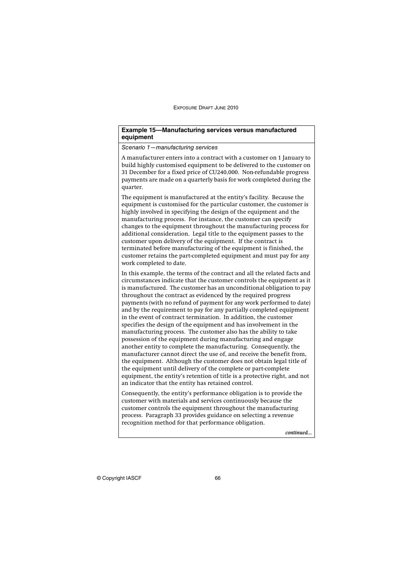## **Example 15—Manufacturing services versus manufactured equipment**

Scenario 1—manufacturing services

A manufacturer enters into a contract with a customer on 1 January to build highly customised equipment to be delivered to the customer on 31 December for a fixed price of CU240,000. Non-refundable progress payments are made on a quarterly basis for work completed during the quarter.

The equipment is manufactured at the entity's facility. Because the equipment is customised for the particular customer, the customer is highly involved in specifying the design of the equipment and the manufacturing process. For instance, the customer can specify changes to the equipment throughout the manufacturing process for additional consideration. Legal title to the equipment passes to the customer upon delivery of the equipment. If the contract is terminated before manufacturing of the equipment is finished, the customer retains the part-completed equipment and must pay for any work completed to date.

In this example, the terms of the contract and all the related facts and circumstances indicate that the customer controls the equipment as it is manufactured. The customer has an unconditional obligation to pay throughout the contract as evidenced by the required progress payments (with no refund of payment for any work performed to date) and by the requirement to pay for any partially completed equipment in the event of contract termination. In addition, the customer specifies the design of the equipment and has involvement in the manufacturing process. The customer also has the ability to take possession of the equipment during manufacturing and engage another entity to complete the manufacturing. Consequently, the manufacturer cannot direct the use of, and receive the benefit from, the equipment. Although the customer does not obtain legal title of the equipment until delivery of the complete or part-complete equipment, the entity's retention of title is a protective right, and not an indicator that the entity has retained control.

Consequently, the entity's performance obligation is to provide the customer with materials and services continuously because the customer controls the equipment throughout the manufacturing process. Paragraph 33 provides guidance on selecting a revenue recognition method for that performance obligation.

*continued...*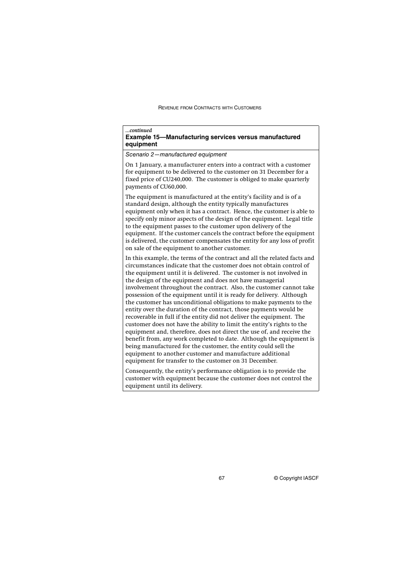| continued<br><b>Example 15-Manufacturing services versus manufactured</b><br>equipment                                                                                                                                                                                                                                                                                                                                                                                                                                                                                                                                                                                                                                                                                                                                                                                                                                                                                                                                                                                  |  |  |  |  |
|-------------------------------------------------------------------------------------------------------------------------------------------------------------------------------------------------------------------------------------------------------------------------------------------------------------------------------------------------------------------------------------------------------------------------------------------------------------------------------------------------------------------------------------------------------------------------------------------------------------------------------------------------------------------------------------------------------------------------------------------------------------------------------------------------------------------------------------------------------------------------------------------------------------------------------------------------------------------------------------------------------------------------------------------------------------------------|--|--|--|--|
| Scenario 2-manufactured equipment                                                                                                                                                                                                                                                                                                                                                                                                                                                                                                                                                                                                                                                                                                                                                                                                                                                                                                                                                                                                                                       |  |  |  |  |
| On 1 January, a manufacturer enters into a contract with a customer<br>for equipment to be delivered to the customer on 31 December for a<br>fixed price of CU240,000. The customer is obliged to make quarterly<br>payments of CU60,000.                                                                                                                                                                                                                                                                                                                                                                                                                                                                                                                                                                                                                                                                                                                                                                                                                               |  |  |  |  |
| The equipment is manufactured at the entity's facility and is of a<br>standard design, although the entity typically manufactures<br>equipment only when it has a contract. Hence, the customer is able to<br>specify only minor aspects of the design of the equipment. Legal title<br>to the equipment passes to the customer upon delivery of the<br>equipment. If the customer cancels the contract before the equipment<br>is delivered, the customer compensates the entity for any loss of profit<br>on sale of the equipment to another customer.                                                                                                                                                                                                                                                                                                                                                                                                                                                                                                               |  |  |  |  |
| In this example, the terms of the contract and all the related facts and<br>circumstances indicate that the customer does not obtain control of<br>the equipment until it is delivered. The customer is not involved in<br>the design of the equipment and does not have managerial<br>involvement throughout the contract. Also, the customer cannot take<br>possession of the equipment until it is ready for delivery. Although<br>the customer has unconditional obligations to make payments to the<br>entity over the duration of the contract, those payments would be<br>recoverable in full if the entity did not deliver the equipment. The<br>customer does not have the ability to limit the entity's rights to the<br>equipment and, therefore, does not direct the use of, and receive the<br>benefit from, any work completed to date. Although the equipment is<br>being manufactured for the customer, the entity could sell the<br>equipment to another customer and manufacture additional<br>equipment for transfer to the customer on 31 December. |  |  |  |  |
| Consequently, the entity's performance obligation is to provide the<br>customer with equipment because the customer does not control the<br>equipment until its delivery.                                                                                                                                                                                                                                                                                                                                                                                                                                                                                                                                                                                                                                                                                                                                                                                                                                                                                               |  |  |  |  |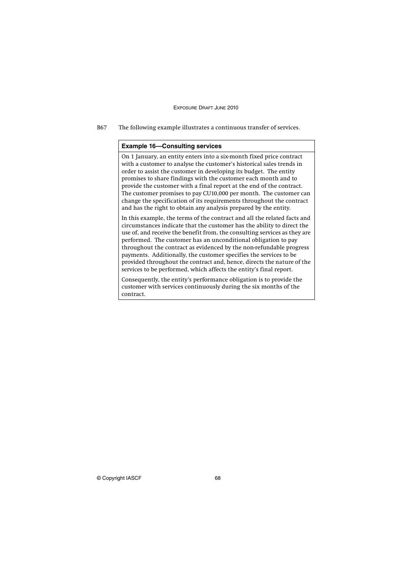B67 The following example illustrates a continuous transfer of services.

## **Example 16—Consulting services**

On 1 January, an entity enters into a six-month fixed price contract with a customer to analyse the customer's historical sales trends in order to assist the customer in developing its budget. The entity promises to share findings with the customer each month and to provide the customer with a final report at the end of the contract. The customer promises to pay CU10,000 per month. The customer can change the specification of its requirements throughout the contract and has the right to obtain any analysis prepared by the entity.

In this example, the terms of the contract and all the related facts and circumstances indicate that the customer has the ability to direct the use of, and receive the benefit from, the consulting services as they are performed. The customer has an unconditional obligation to pay throughout the contract as evidenced by the non-refundable progress payments. Additionally, the customer specifies the services to be provided throughout the contract and, hence, directs the nature of the services to be performed, which affects the entity's final report.

Consequently, the entity's performance obligation is to provide the customer with services continuously during the six months of the contract.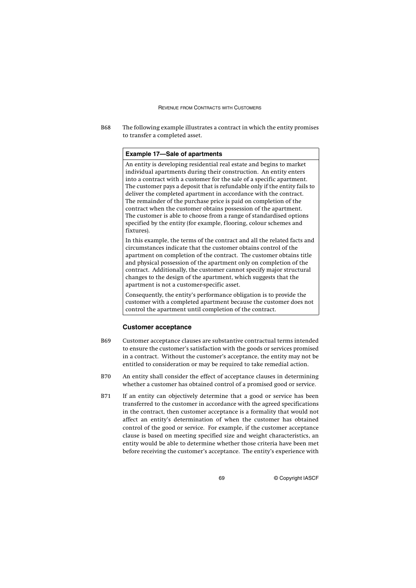B68 The following example illustrates a contract in which the entity promises to transfer a completed asset.

### **Example 17—Sale of apartments**

An entity is developing residential real estate and begins to market individual apartments during their construction. An entity enters into a contract with a customer for the sale of a specific apartment. The customer pays a deposit that is refundable only if the entity fails to deliver the completed apartment in accordance with the contract. The remainder of the purchase price is paid on completion of the contract when the customer obtains possession of the apartment. The customer is able to choose from a range of standardised options specified by the entity (for example, flooring, colour schemes and fixtures).

In this example, the terms of the contract and all the related facts and circumstances indicate that the customer obtains control of the apartment on completion of the contract. The customer obtains title and physical possession of the apartment only on completion of the contract. Additionally, the customer cannot specify major structural changes to the design of the apartment, which suggests that the apartment is not a customer-specific asset.

Consequently, the entity's performance obligation is to provide the customer with a completed apartment because the customer does not control the apartment until completion of the contract.

### **Customer acceptance**

- B69 Customer acceptance clauses are substantive contractual terms intended to ensure the customer's satisfaction with the goods or services promised in a contract. Without the customer's acceptance, the entity may not be entitled to consideration or may be required to take remedial action.
- B70 An entity shall consider the effect of acceptance clauses in determining whether a customer has obtained control of a promised good or service.
- B71 If an entity can objectively determine that a good or service has been transferred to the customer in accordance with the agreed specifications in the contract, then customer acceptance is a formality that would not affect an entity's determination of when the customer has obtained control of the good or service. For example, if the customer acceptance clause is based on meeting specified size and weight characteristics, an entity would be able to determine whether those criteria have been met before receiving the customer's acceptance. The entity's experience with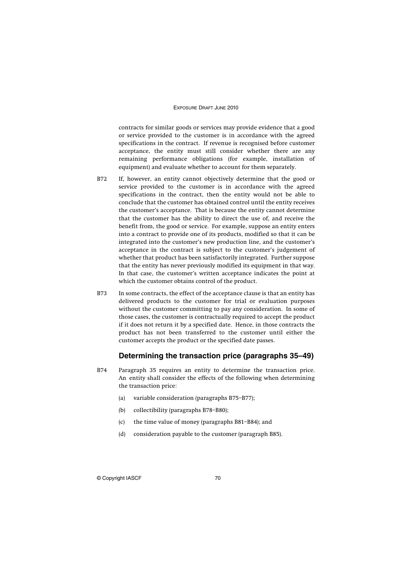contracts for similar goods or services may provide evidence that a good or service provided to the customer is in accordance with the agreed specifications in the contract. If revenue is recognised before customer acceptance, the entity must still consider whether there are any remaining performance obligations (for example, installation of equipment) and evaluate whether to account for them separately.

- B72 If, however, an entity cannot objectively determine that the good or service provided to the customer is in accordance with the agreed specifications in the contract, then the entity would not be able to conclude that the customer has obtained control until the entity receives the customer's acceptance. That is because the entity cannot determine that the customer has the ability to direct the use of, and receive the benefit from, the good or service. For example, suppose an entity enters into a contract to provide one of its products, modified so that it can be integrated into the customer's new production line, and the customer's acceptance in the contract is subject to the customer's judgement of whether that product has been satisfactorily integrated. Further suppose that the entity has never previously modified its equipment in that way. In that case, the customer's written acceptance indicates the point at which the customer obtains control of the product.
- B73 In some contracts, the effect of the acceptance clause is that an entity has delivered products to the customer for trial or evaluation purposes without the customer committing to pay any consideration. In some of those cases, the customer is contractually required to accept the product if it does not return it by a specified date. Hence, in those contracts the product has not been transferred to the customer until either the customer accepts the product or the specified date passes.

## **Determining the transaction price (paragraphs 35–49)**

- B74 Paragraph 35 requires an entity to determine the transaction price. An entity shall consider the effects of the following when determining the transaction price:
	- (a) variable consideration (paragraphs B75–B77);
	- (b) collectibility (paragraphs B78–B80);
	- (c) the time value of money (paragraphs B81–B84); and
	- (d) consideration payable to the customer (paragraph B85).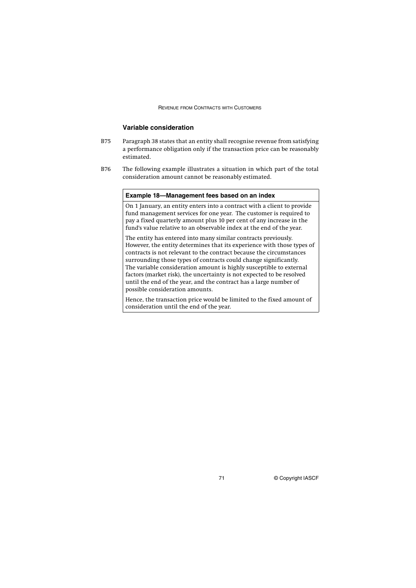## **Variable consideration**

- B75 Paragraph 38 states that an entity shall recognise revenue from satisfying a performance obligation only if the transaction price can be reasonably estimated.
- B76 The following example illustrates a situation in which part of the total consideration amount cannot be reasonably estimated.

## **Example 18—Management fees based on an index**

On 1 January, an entity enters into a contract with a client to provide fund management services for one year. The customer is required to pay a fixed quarterly amount plus 10 per cent of any increase in the fund's value relative to an observable index at the end of the year.

The entity has entered into many similar contracts previously. However, the entity determines that its experience with those types of contracts is not relevant to the contract because the circumstances surrounding those types of contracts could change significantly. The variable consideration amount is highly susceptible to external factors (market risk), the uncertainty is not expected to be resolved until the end of the year, and the contract has a large number of possible consideration amounts.

Hence, the transaction price would be limited to the fixed amount of consideration until the end of the year.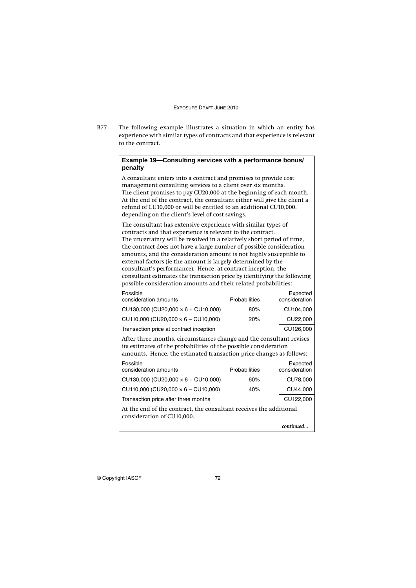B77 The following example illustrates a situation in which an entity has experience with similar types of contracts and that experience is relevant to the contract.

## **Example 19—Consulting services with a performance bonus/ penalty**

A consultant enters into a contract and promises to provide cost management consulting services to a client over six months. The client promises to pay CU20,000 at the beginning of each month. At the end of the contract, the consultant either will give the client a refund of CU10,000 or will be entitled to an additional CU10,000, depending on the client's level of cost savings. The consultant has extensive experience with similar types of

contracts and that experience is relevant to the contract. The uncertainty will be resolved in a relatively short period of time, the contract does not have a large number of possible consideration amounts, and the consideration amount is not highly susceptible to external factors (ie the amount is largely determined by the consultant's performance). Hence, at contract inception, the consultant estimates the transaction price by identifying the following possible consideration amounts and their related probabilities:

| Possible<br>consideration amounts                                                                                                                                                                              | <b>Probabilities</b> | Expected<br>consideration |  |
|----------------------------------------------------------------------------------------------------------------------------------------------------------------------------------------------------------------|----------------------|---------------------------|--|
| $CU130,000$ (CU20,000 $\times$ 6 + CU10,000)                                                                                                                                                                   | 80%                  | CU104,000                 |  |
| $CU110,000 (CU20,000 \times 6 - CU10,000)$                                                                                                                                                                     | 20%                  | CU22,000                  |  |
| Transaction price at contract inception                                                                                                                                                                        |                      | CU126,000                 |  |
| After three months, circumstances change and the consultant revises<br>its estimates of the probabilities of the possible consideration<br>amounts. Hence, the estimated transaction price changes as follows: |                      |                           |  |
| Possible<br>consideration amounts                                                                                                                                                                              | <b>Probabilities</b> | Expected<br>consideration |  |
| CU130,000 (CU20,000 $\times$ 6 + CU10,000)                                                                                                                                                                     | 60%                  | CU78,000                  |  |
| $CU110,000 (CU20,000 \times 6 - CU10,000)$                                                                                                                                                                     | 40%                  | CU44,000                  |  |
| Transaction price after three months                                                                                                                                                                           |                      | CU122,000                 |  |
| At the end of the contract, the consultant receives the additional<br>consideration of CU10,000.                                                                                                               |                      |                           |  |
|                                                                                                                                                                                                                |                      | continued                 |  |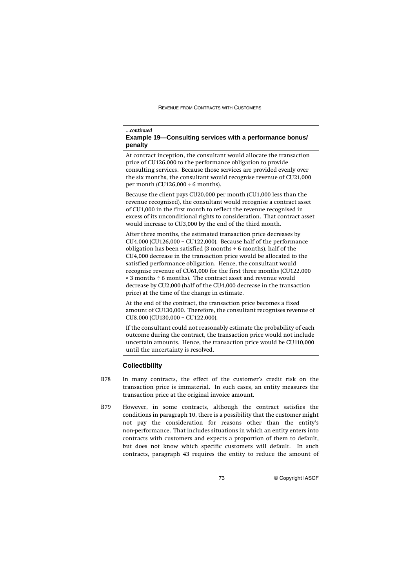#### *...continued*

## **Example 19—Consulting services with a performance bonus/ penalty**

At contract inception, the consultant would allocate the transaction price of CU126,000 to the performance obligation to provide consulting services. Because those services are provided evenly over the six months, the consultant would recognise revenue of CU21,000 per month (CU126,000  $\div$  6 months).

Because the client pays CU20,000 per month (CU1,000 less than the revenue recognised), the consultant would recognise a contract asset of CU1,000 in the first month to reflect the revenue recognised in excess of its unconditional rights to consideration. That contract asset would increase to CU3,000 by the end of the third month.

After three months, the estimated transaction price decreases by CU4,000 (CU126,000 – CU122,000). Because half of the performance obligation has been satisfied (3 months  $\div$  6 months), half of the CU4,000 decrease in the transaction price would be allocated to the satisfied performance obligation. Hence, the consultant would recognise revenue of CU61,000 for the first three months (CU122,000 × 3 months ÷ 6 months). The contract asset and revenue would decrease by CU2,000 (half of the CU4,000 decrease in the transaction price) at the time of the change in estimate.

At the end of the contract, the transaction price becomes a fixed amount of CU130,000. Therefore, the consultant recognises revenue of CU8,000 (CU130,000 – CU122,000).

If the consultant could not reasonably estimate the probability of each outcome during the contract, the transaction price would not include uncertain amounts. Hence, the transaction price would be CU110,000 until the uncertainty is resolved.

## **Collectibility**

- B78 In many contracts, the effect of the customer's credit risk on the transaction price is immaterial. In such cases, an entity measures the transaction price at the original invoice amount.
- B79 However, in some contracts, although the contract satisfies the conditions in paragraph 10, there is a possibility that the customer might not pay the consideration for reasons other than the entity's non-performance. That includes situations in which an entity enters into contracts with customers and expects a proportion of them to default, but does not know which specific customers will default. In such contracts, paragraph 43 requires the entity to reduce the amount of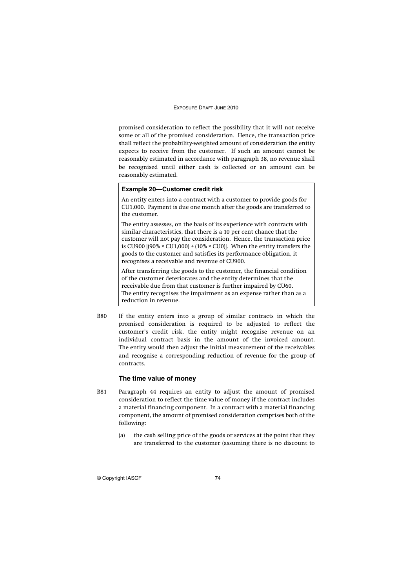promised consideration to reflect the possibility that it will not receive some or all of the promised consideration. Hence, the transaction price shall reflect the probability-weighted amount of consideration the entity expects to receive from the customer. If such an amount cannot be reasonably estimated in accordance with paragraph 38, no revenue shall be recognised until either cash is collected or an amount can be reasonably estimated.

## **Example 20—Customer credit risk**

An entity enters into a contract with a customer to provide goods for CU1,000. Payment is due one month after the goods are transferred to the customer.

The entity assesses, on the basis of its experience with contracts with similar characteristics, that there is a 10 per cent chance that the customer will not pay the consideration. Hence, the transaction price is CU900  $[(90\% \times CU1,000) + (10\% \times CU0)]$ . When the entity transfers the goods to the customer and satisfies its performance obligation, it recognises a receivable and revenue of CU900.

After transferring the goods to the customer, the financial condition of the customer deteriorates and the entity determines that the receivable due from that customer is further impaired by CU60. The entity recognises the impairment as an expense rather than as a reduction in revenue.

B80 If the entity enters into a group of similar contracts in which the promised consideration is required to be adjusted to reflect the customer's credit risk, the entity might recognise revenue on an individual contract basis in the amount of the invoiced amount. The entity would then adjust the initial measurement of the receivables and recognise a corresponding reduction of revenue for the group of contracts.

## **The time value of money**

- B81 Paragraph 44 requires an entity to adjust the amount of promised consideration to reflect the time value of money if the contract includes a material financing component. In a contract with a material financing component, the amount of promised consideration comprises both of the following:
	- (a) the cash selling price of the goods or services at the point that they are transferred to the customer (assuming there is no discount to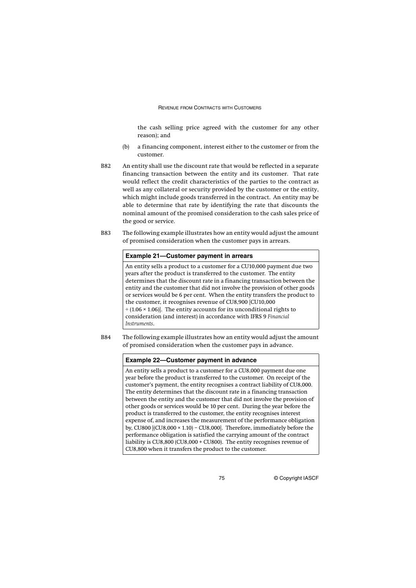the cash selling price agreed with the customer for any other reason); and

- (b) a financing component, interest either to the customer or from the customer.
- B82 An entity shall use the discount rate that would be reflected in a separate financing transaction between the entity and its customer. That rate would reflect the credit characteristics of the parties to the contract as well as any collateral or security provided by the customer or the entity, which might include goods transferred in the contract. An entity may be able to determine that rate by identifying the rate that discounts the nominal amount of the promised consideration to the cash sales price of the good or service.
- B83 The following example illustrates how an entity would adjust the amount of promised consideration when the customer pays in arrears.

### **Example 21—Customer payment in arrears**

An entity sells a product to a customer for a CU10,000 payment due two years after the product is transferred to the customer. The entity determines that the discount rate in a financing transaction between the entity and the customer that did not involve the provision of other goods or services would be 6 per cent. When the entity transfers the product to the customer, it recognises revenue of CU8,900 [CU10,000  $\div$  (1.06  $\times$  1.06)]. The entity accounts for its unconditional rights to consideration (and interest) in accordance with IFRS 9 *Financial Instruments*.

B84 The following example illustrates how an entity would adjust the amount of promised consideration when the customer pays in advance.

#### **Example 22—Customer payment in advance**

An entity sells a product to a customer for a CU8,000 payment due one year before the product is transferred to the customer. On receipt of the customer's payment, the entity recognises a contract liability of CU8,000. The entity determines that the discount rate in a financing transaction between the entity and the customer that did not involve the provision of other goods or services would be 10 per cent. During the year before the product is transferred to the customer, the entity recognises interest expense of, and increases the measurement of the performance obligation by, CU800 [(CU8,000 × 1.10) – CU8,000]. Therefore, immediately before the performance obligation is satisfied the carrying amount of the contract liability is CU8,800 (CU8,000 + CU800). The entity recognises revenue of CU8,800 when it transfers the product to the customer.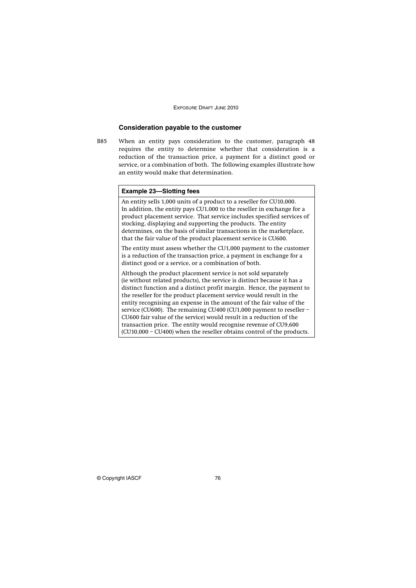## **Consideration payable to the customer**

B85 When an entity pays consideration to the customer, paragraph 48 requires the entity to determine whether that consideration is a reduction of the transaction price, a payment for a distinct good or service, or a combination of both. The following examples illustrate how an entity would make that determination.

## **Example 23—Slotting fees** An entity sells 1,000 units of a product to a reseller for CU10,000. In addition, the entity pays CU1,000 to the reseller in exchange for a product placement service. That service includes specified services of stocking, displaying and supporting the products. The entity determines, on the basis of similar transactions in the marketplace, that the fair value of the product placement service is CU600. The entity must assess whether the CU1,000 payment to the customer is a reduction of the transaction price, a payment in exchange for a distinct good or a service, or a combination of both. Although the product placement service is not sold separately (ie without related products), the service is distinct because it has a distinct function and a distinct profit margin. Hence, the payment to the reseller for the product placement service would result in the entity recognising an expense in the amount of the fair value of the service (CU600). The remaining CU400 (CU1,000 payment to reseller -CU600 fair value of the service) would result in a reduction of the transaction price. The entity would recognise revenue of CU9,600

(CU10,000 – CU400) when the reseller obtains control of the products.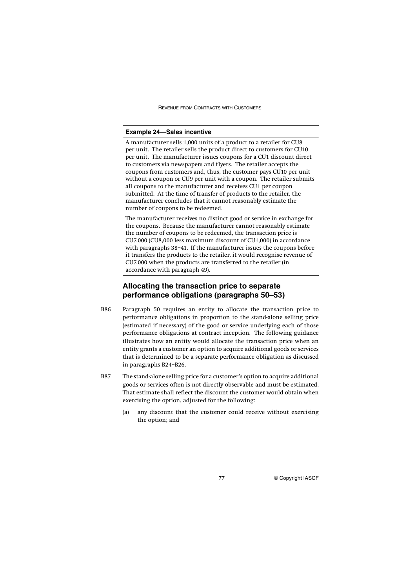#### **Example 24—Sales incentive**

A manufacturer sells 1,000 units of a product to a retailer for CU8 per unit. The retailer sells the product direct to customers for CU10 per unit. The manufacturer issues coupons for a CU1 discount direct to customers via newspapers and flyers. The retailer accepts the coupons from customers and, thus, the customer pays CU10 per unit without a coupon or CU9 per unit with a coupon. The retailer submits all coupons to the manufacturer and receives CU1 per coupon submitted. At the time of transfer of products to the retailer, the manufacturer concludes that it cannot reasonably estimate the number of coupons to be redeemed.

The manufacturer receives no distinct good or service in exchange for the coupons. Because the manufacturer cannot reasonably estimate the number of coupons to be redeemed, the transaction price is CU7,000 (CU8,000 less maximum discount of CU1,000) in accordance with paragraphs 38–41. If the manufacturer issues the coupons before it transfers the products to the retailer, it would recognise revenue of CU7,000 when the products are transferred to the retailer (in accordance with paragraph 49).

## **Allocating the transaction price to separate performance obligations (paragraphs 50–53)**

- B86 Paragraph 50 requires an entity to allocate the transaction price to performance obligations in proportion to the stand-alone selling price (estimated if necessary) of the good or service underlying each of those performance obligations at contract inception. The following guidance illustrates how an entity would allocate the transaction price when an entity grants a customer an option to acquire additional goods or services that is determined to be a separate performance obligation as discussed in paragraphs B24–B26.
- B87 The stand-alone selling price for a customer's option to acquire additional goods or services often is not directly observable and must be estimated. That estimate shall reflect the discount the customer would obtain when exercising the option, adjusted for the following:
	- (a) any discount that the customer could receive without exercising the option; and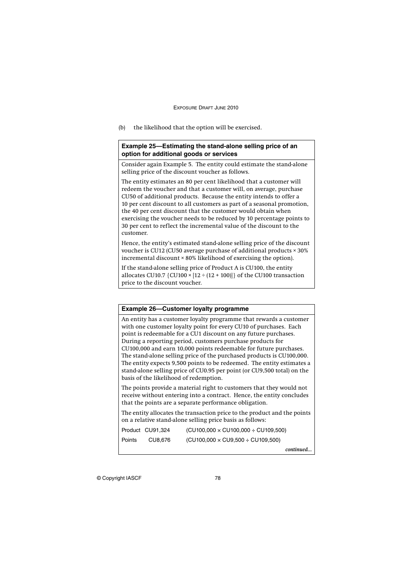(b) the likelihood that the option will be exercised.

## **Example 25—Estimating the stand-alone selling price of an option for additional goods or services**

Consider again Example 5. The entity could estimate the stand-alone selling price of the discount voucher as follows.

The entity estimates an 80 per cent likelihood that a customer will redeem the voucher and that a customer will, on average, purchase CU50 of additional products. Because the entity intends to offer a 10 per cent discount to all customers as part of a seasonal promotion, the 40 per cent discount that the customer would obtain when exercising the voucher needs to be reduced by 10 percentage points to 30 per cent to reflect the incremental value of the discount to the customer.

Hence, the entity's estimated stand-alone selling price of the discount voucher is CU12 (CU50 average purchase of additional products × 30% incremental discount × 80% likelihood of exercising the option).

If the stand-alone selling price of Product A is CU100, the entity allocates CU10.7  $\{$  CU100  $\times$   $[12 \div (12 + 100)]$  of the CU100 transaction price to the discount voucher.

## **Example 26—Customer loyalty programme**

An entity has a customer loyalty programme that rewards a customer with one customer loyalty point for every CU10 of purchases. Each point is redeemable for a CU1 discount on any future purchases. During a reporting period, customers purchase products for CU100,000 and earn 10,000 points redeemable for future purchases. The stand-alone selling price of the purchased products is CU100,000. The entity expects 9,500 points to be redeemed. The entity estimates a stand-alone selling price of CU0.95 per point (or CU9,500 total) on the basis of the likelihood of redemption.

The points provide a material right to customers that they would not receive without entering into a contract. Hence, the entity concludes that the points are a separate performance obligation.

The entity allocates the transaction price to the product and the points on a relative stand-alone selling price basis as follows:

| Product CU91,324 | $(CU100,000 \times CU100,000 \div CU109,500)$ |
|------------------|-----------------------------------------------|
|                  |                                               |

Points CU8,676 (CU100,000 × CU9,500 ÷ CU109,500)

*continued...*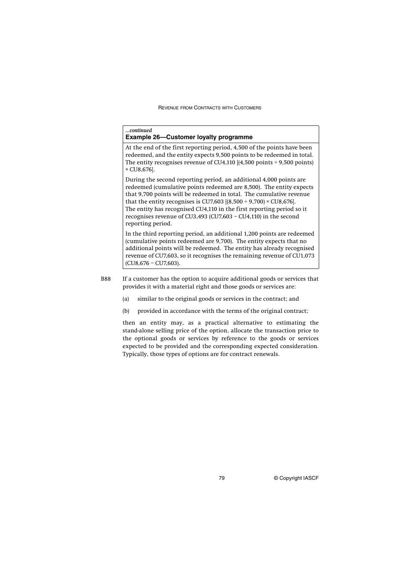| continued<br><b>Example 26–Customer loyalty programme</b> |                                                                                                                                                                                                                                                                                                                                                                                                                                             |
|-----------------------------------------------------------|---------------------------------------------------------------------------------------------------------------------------------------------------------------------------------------------------------------------------------------------------------------------------------------------------------------------------------------------------------------------------------------------------------------------------------------------|
| $\times$ CU8,676].                                        | At the end of the first reporting period, 4,500 of the points have been<br>redeemed, and the entity expects 9,500 points to be redeemed in total.<br>The entity recognises revenue of CU4,110 $[(4,500 \text{ points} \div 9,500 \text{ points})]$                                                                                                                                                                                          |
| reporting period.                                         | During the second reporting period, an additional 4,000 points are<br>redeemed (cumulative points redeemed are 8,500). The entity expects<br>that 9,700 points will be redeemed in total. The cumulative revenue<br>that the entity recognises is CU7,603 $[(8,500 \div 9,700) \times$ CU8,676.<br>The entity has recognised CU4,110 in the first reporting period so it<br>recognises revenue of CU3,493 (CU7,603 – CU4,110) in the second |
|                                                           | In the third reporting period, an additional 1,200 points are redeemed<br>(cumulative points redeemed are 9,700). The entity expects that no<br>additional points will be redeemed. The entity has already recognised<br>revenue of CU7,603, so it recognises the remaining revenue of CU1,073                                                                                                                                              |

(CU8,676 – CU7,603).

B88 If a customer has the option to acquire additional goods or services that provides it with a material right and those goods or services are:

- (a) similar to the original goods or services in the contract; and
- (b) provided in accordance with the terms of the original contract;

then an entity may, as a practical alternative to estimating the stand-alone selling price of the option, allocate the transaction price to the optional goods or services by reference to the goods or services expected to be provided and the corresponding expected consideration. Typically, those types of options are for contract renewals.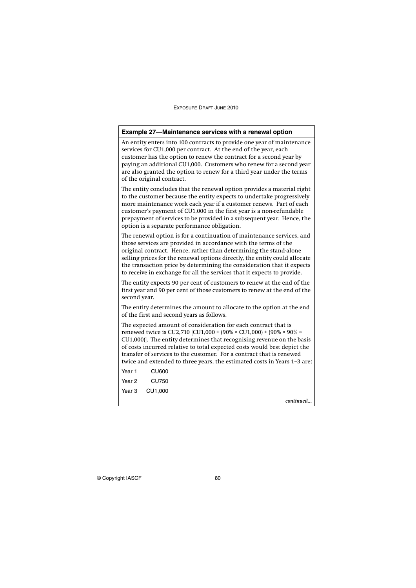| Example 27-Maintenance services with a renewal option                                                                                                                                                                                                                                                                                                                                                                                            |  |
|--------------------------------------------------------------------------------------------------------------------------------------------------------------------------------------------------------------------------------------------------------------------------------------------------------------------------------------------------------------------------------------------------------------------------------------------------|--|
| An entity enters into 100 contracts to provide one year of maintenance<br>services for CU1,000 per contract. At the end of the year, each<br>customer has the option to renew the contract for a second year by<br>paying an additional CU1,000. Customers who renew for a second year<br>are also granted the option to renew for a third year under the terms<br>of the original contract.                                                     |  |
| The entity concludes that the renewal option provides a material right<br>to the customer because the entity expects to undertake progressively<br>more maintenance work each year if a customer renews. Part of each<br>customer's payment of CU1,000 in the first year is a non-refundable<br>prepayment of services to be provided in a subsequent year. Hence, the<br>option is a separate performance obligation.                           |  |
| The renewal option is for a continuation of maintenance services, and<br>those services are provided in accordance with the terms of the<br>original contract. Hence, rather than determining the stand-alone<br>selling prices for the renewal options directly, the entity could allocate<br>the transaction price by determining the consideration that it expects<br>to receive in exchange for all the services that it expects to provide. |  |
| The entity expects 90 per cent of customers to renew at the end of the<br>first year and 90 per cent of those customers to renew at the end of the<br>second year.                                                                                                                                                                                                                                                                               |  |
| The entity determines the amount to allocate to the option at the end<br>of the first and second years as follows.                                                                                                                                                                                                                                                                                                                               |  |
| The expected amount of consideration for each contract that is<br>renewed twice is CU2,710 [CU1,000 + (90% × CU1,000) + (90% × 90% ×<br>CU1,000)]. The entity determines that recognising revenue on the basis<br>of costs incurred relative to total expected costs would best depict the<br>transfer of services to the customer. For a contract that is renewed<br>twice and extended to three years, the estimated costs in Years 1-3 are:   |  |
| Year 1<br><b>CU600</b>                                                                                                                                                                                                                                                                                                                                                                                                                           |  |
| Year <sub>2</sub><br><b>CU750</b>                                                                                                                                                                                                                                                                                                                                                                                                                |  |
| Year <sub>3</sub><br>CU1,000                                                                                                                                                                                                                                                                                                                                                                                                                     |  |
| continued                                                                                                                                                                                                                                                                                                                                                                                                                                        |  |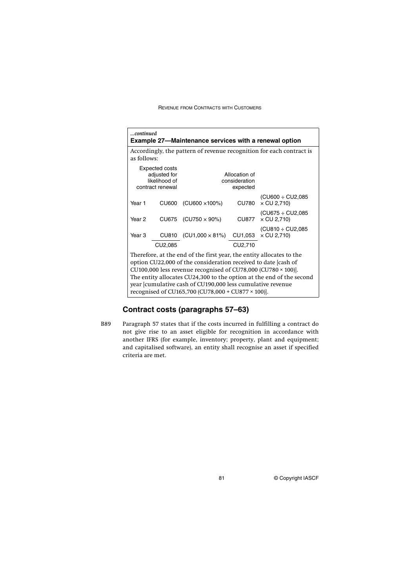| continued                                                                                                                                                                                                                                                                                                                                                                                           |                                                                                     | <b>Example 27–Maintenance services with a renewal option</b> |              |                                               |
|-----------------------------------------------------------------------------------------------------------------------------------------------------------------------------------------------------------------------------------------------------------------------------------------------------------------------------------------------------------------------------------------------------|-------------------------------------------------------------------------------------|--------------------------------------------------------------|--------------|-----------------------------------------------|
|                                                                                                                                                                                                                                                                                                                                                                                                     | Accordingly, the pattern of revenue recognition for each contract is<br>as follows: |                                                              |              |                                               |
| Expected costs<br>adjusted for<br>likelihood of<br>contract renewal                                                                                                                                                                                                                                                                                                                                 |                                                                                     | Allocation of<br>consideration<br>expected                   |              |                                               |
| Year 1                                                                                                                                                                                                                                                                                                                                                                                              | <b>CU600</b>                                                                        | $(CU600 \times 100\%)$                                       | <b>CU780</b> | (CU600 ÷ CU2,085<br>$\times$ CU 2,710)        |
| Year <sub>2</sub>                                                                                                                                                                                                                                                                                                                                                                                   |                                                                                     | $CU675$ (CU750 $\times$ 90%)                                 | <b>CU877</b> | (CU675 ÷ CU2,085<br>$\times$ CU 2,710)        |
| Year <sub>3</sub>                                                                                                                                                                                                                                                                                                                                                                                   | CU810                                                                               | $(CU1,000 \times 81\%)$                                      |              | (CU810 ÷ CU2,085<br>$CU1,053 \times CU 2,710$ |
|                                                                                                                                                                                                                                                                                                                                                                                                     | CU2,085                                                                             |                                                              | CU2,710      |                                               |
| Therefore, at the end of the first year, the entity allocates to the<br>option CU22,000 of the consideration received to date [cash of<br>CU100,000 less revenue recognised of CU78,000 (CU780 × 100)].<br>The entity allocates CU24,300 to the option at the end of the second<br>year [cumulative cash of CU190,000 less cumulative revenue<br>recognised of CU165,700 (CU78,000 + CU877 × 100)]. |                                                                                     |                                                              |              |                                               |

# **Contract costs (paragraphs 57–63)**

B89 Paragraph 57 states that if the costs incurred in fulfilling a contract do not give rise to an asset eligible for recognition in accordance with another IFRS (for example, inventory; property, plant and equipment; and capitalised software), an entity shall recognise an asset if specified criteria are met.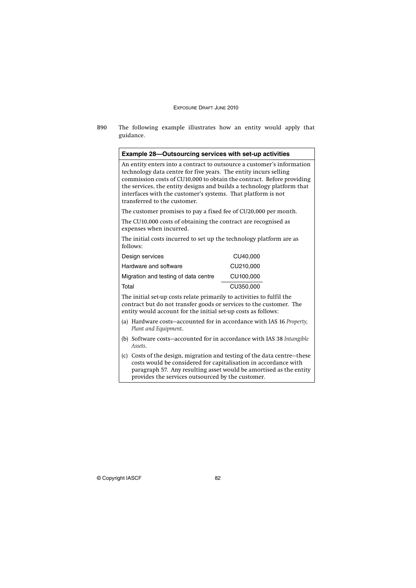B90 The following example illustrates how an entity would apply that guidance.

An entity enters into a contract to outsource a customer's information technology data centre for five years. The entity incurs selling commission costs of CU10,000 to obtain the contract. Before providing the services, the entity designs and builds a technology platform that interfaces with the customer's systems. That platform is not transferred to the customer.

The customer promises to pay a fixed fee of CU20,000 per month.

The CU10,000 costs of obtaining the contract are recognised as expenses when incurred.

The initial costs incurred to set up the technology platform are as follows:

| Design services                      | CU40,000  |
|--------------------------------------|-----------|
| Hardware and software                | CU210,000 |
| Migration and testing of data centre | CU100,000 |
| Total                                | CU350,000 |

The initial set-up costs relate primarily to activities to fulfil the contract but do not transfer goods or services to the customer. The entity would account for the initial set-up costs as follows:

- (a) Hardware costs—accounted for in accordance with IAS 16 *Property, Plant and Equipment*.
- (b) Software costs—accounted for in accordance with IAS 38 *Intangible Assets*.
- (c) Costs of the design, migration and testing of the data centre—these costs would be considered for capitalisation in accordance with paragraph 57. Any resulting asset would be amortised as the entity provides the services outsourced by the customer.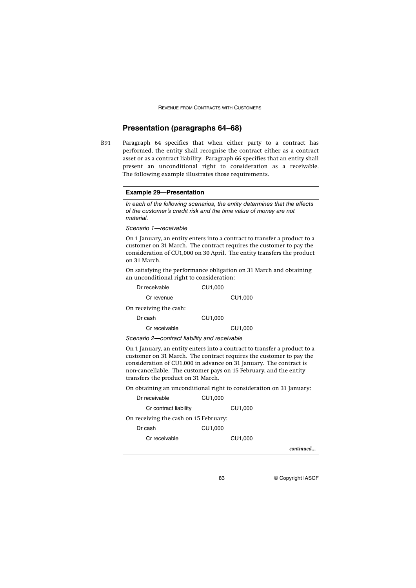## **Presentation (paragraphs 64–68)**

B91 Paragraph 64 specifies that when either party to a contract has performed, the entity shall recognise the contract either as a contract asset or as a contract liability. Paragraph 66 specifies that an entity shall present an unconditional right to consideration as a receivable. The following example illustrates those requirements.

| <b>Example 29-Presentation</b>                                                                                                                                                                                                                                                                                                    |                                                                     |  |  |
|-----------------------------------------------------------------------------------------------------------------------------------------------------------------------------------------------------------------------------------------------------------------------------------------------------------------------------------|---------------------------------------------------------------------|--|--|
| In each of the following scenarios, the entity determines that the effects<br>of the customer's credit risk and the time value of money are not<br>material.                                                                                                                                                                      |                                                                     |  |  |
| Scenario 1-receivable                                                                                                                                                                                                                                                                                                             |                                                                     |  |  |
| On 1 January, an entity enters into a contract to transfer a product to a<br>customer on 31 March. The contract requires the customer to pay the<br>consideration of CU1,000 on 30 April. The entity transfers the product<br>on 31 March.                                                                                        |                                                                     |  |  |
| On satisfying the performance obligation on 31 March and obtaining<br>an unconditional right to consideration:                                                                                                                                                                                                                    |                                                                     |  |  |
| Dr receivable                                                                                                                                                                                                                                                                                                                     | CU1,000                                                             |  |  |
| Cr revenue                                                                                                                                                                                                                                                                                                                        | CU1,000                                                             |  |  |
| On receiving the cash:                                                                                                                                                                                                                                                                                                            |                                                                     |  |  |
| Dr cash                                                                                                                                                                                                                                                                                                                           | CU1,000                                                             |  |  |
| Cr receivable                                                                                                                                                                                                                                                                                                                     | CU1,000                                                             |  |  |
| Scenario 2-contract liability and receivable                                                                                                                                                                                                                                                                                      |                                                                     |  |  |
| On 1 January, an entity enters into a contract to transfer a product to a<br>customer on 31 March. The contract requires the customer to pay the<br>consideration of CU1,000 in advance on 31 January. The contract is<br>non-cancellable. The customer pays on 15 February, and the entity<br>transfers the product on 31 March. |                                                                     |  |  |
|                                                                                                                                                                                                                                                                                                                                   | On obtaining an unconditional right to consideration on 31 January: |  |  |
| Dr receivable                                                                                                                                                                                                                                                                                                                     | CU1,000                                                             |  |  |
| Cr contract liability                                                                                                                                                                                                                                                                                                             | CU1,000                                                             |  |  |
| On receiving the cash on 15 February:                                                                                                                                                                                                                                                                                             |                                                                     |  |  |
| Dr cash                                                                                                                                                                                                                                                                                                                           | CU1,000                                                             |  |  |
| Cr receivable                                                                                                                                                                                                                                                                                                                     | CU1,000                                                             |  |  |
|                                                                                                                                                                                                                                                                                                                                   | continued                                                           |  |  |
|                                                                                                                                                                                                                                                                                                                                   |                                                                     |  |  |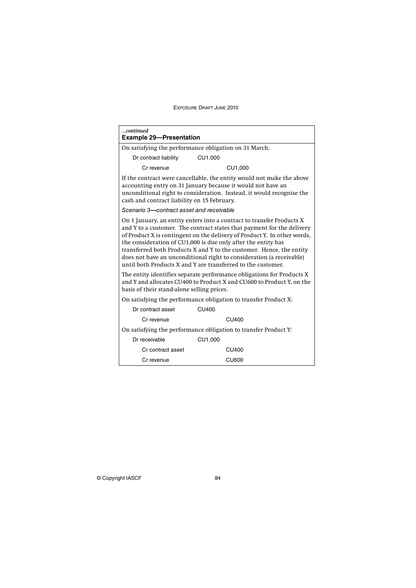| continued<br><b>Example 29-Presentation</b>                                                                                                                                                                                                                                                                                                                                                                                                                                                                                                                                           |                                                                 |  |  |
|---------------------------------------------------------------------------------------------------------------------------------------------------------------------------------------------------------------------------------------------------------------------------------------------------------------------------------------------------------------------------------------------------------------------------------------------------------------------------------------------------------------------------------------------------------------------------------------|-----------------------------------------------------------------|--|--|
| On satisfying the performance obligation on 31 March:                                                                                                                                                                                                                                                                                                                                                                                                                                                                                                                                 |                                                                 |  |  |
| Dr contract liability                                                                                                                                                                                                                                                                                                                                                                                                                                                                                                                                                                 | CU1,000                                                         |  |  |
| Cr revenue                                                                                                                                                                                                                                                                                                                                                                                                                                                                                                                                                                            | CU1.000                                                         |  |  |
| If the contract were cancellable, the entity would not make the above<br>accounting entry on 31 January because it would not have an<br>unconditional right to consideration. Instead, it would recognise the<br>cash and contract liability on 15 February.                                                                                                                                                                                                                                                                                                                          |                                                                 |  |  |
| Scenario 3-contract asset and receivable                                                                                                                                                                                                                                                                                                                                                                                                                                                                                                                                              |                                                                 |  |  |
| On 1 January, an entity enters into a contract to transfer Products X<br>and Y to a customer. The contract states that payment for the delivery<br>of Product X is contingent on the delivery of Product Y. In other words,<br>the consideration of CU1,000 is due only after the entity has<br>transferred both Products X and Y to the customer. Hence, the entity<br>does not have an unconditional right to consideration (a receivable)<br>until both Products X and Y are transferred to the customer.<br>The entity identifies separate performance obligations for Products X |                                                                 |  |  |
| and Y and allocates CU400 to Product X and CU600 to Product Y, on the<br>basis of their stand alone selling prices.                                                                                                                                                                                                                                                                                                                                                                                                                                                                   |                                                                 |  |  |
|                                                                                                                                                                                                                                                                                                                                                                                                                                                                                                                                                                                       | On satisfying the performance obligation to transfer Product X: |  |  |
| Dr contract asset                                                                                                                                                                                                                                                                                                                                                                                                                                                                                                                                                                     | CU400                                                           |  |  |
| Cr revenue                                                                                                                                                                                                                                                                                                                                                                                                                                                                                                                                                                            | CU400                                                           |  |  |
|                                                                                                                                                                                                                                                                                                                                                                                                                                                                                                                                                                                       | On satisfying the performance obligation to transfer Product Y: |  |  |
| Dr receivable                                                                                                                                                                                                                                                                                                                                                                                                                                                                                                                                                                         | CU1,000                                                         |  |  |
| Cr contract asset                                                                                                                                                                                                                                                                                                                                                                                                                                                                                                                                                                     | CU400                                                           |  |  |
| Cr revenue                                                                                                                                                                                                                                                                                                                                                                                                                                                                                                                                                                            | CU600                                                           |  |  |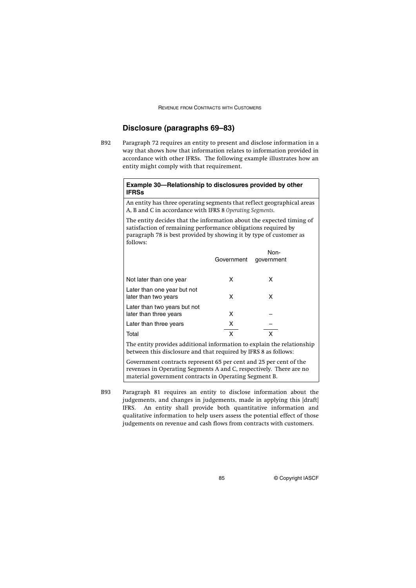## **Disclosure (paragraphs 69–83)**

B92 Paragraph 72 requires an entity to present and disclose information in a way that shows how that information relates to information provided in accordance with other IFRSs. The following example illustrates how an entity might comply with that requirement.

## **Example 30—Relationship to disclosures provided by other IFRSs**

An entity has three operating segments that reflect geographical areas A, B and C in accordance with IFRS 8 *Operating Segments*.

The entity decides that the information about the expected timing of satisfaction of remaining performance obligations required by paragraph 78 is best provided by showing it by type of customer as follows:

| TOITOWS.                                               |            | Non-       |  |
|--------------------------------------------------------|------------|------------|--|
|                                                        | Government | government |  |
| Not later than one year                                | x          | x          |  |
| Later than one year but not<br>later than two years    | x          | x          |  |
| Later than two years but not<br>later than three years | x          |            |  |
| Later than three years                                 | х          |            |  |
| Total                                                  | x          |            |  |

The entity provides additional information to explain the relationship between this disclosure and that required by IFRS 8 as follows:

Government contracts represent 65 per cent and 25 per cent of the revenues in Operating Segments A and C, respectively. There are no material government contracts in Operating Segment B.

B93 Paragraph 81 requires an entity to disclose information about the judgements, and changes in judgements, made in applying this [draft] IFRS. An entity shall provide both quantitative information and qualitative information to help users assess the potential effect of those judgements on revenue and cash flows from contracts with customers.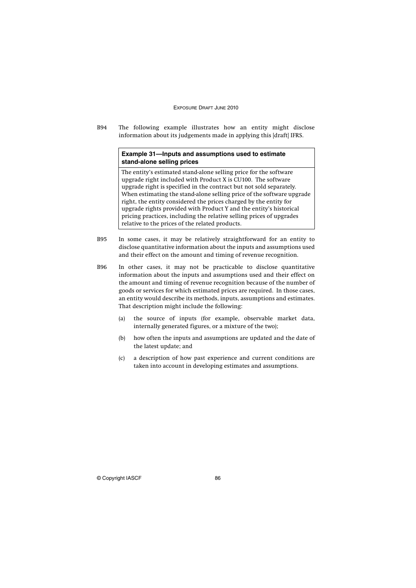B94 The following example illustrates how an entity might disclose information about its judgements made in applying this [draft] IFRS.

## **Example 31—Inputs and assumptions used to estimate stand-alone selling prices**

The entity's estimated stand-alone selling price for the software upgrade right included with Product X is CU100. The software upgrade right is specified in the contract but not sold separately. When estimating the stand-alone selling price of the software upgrade right, the entity considered the prices charged by the entity for upgrade rights provided with Product Y and the entity's historical pricing practices, including the relative selling prices of upgrades relative to the prices of the related products.

- B95 In some cases, it may be relatively straightforward for an entity to disclose quantitative information about the inputs and assumptions used and their effect on the amount and timing of revenue recognition.
- B96 In other cases, it may not be practicable to disclose quantitative information about the inputs and assumptions used and their effect on the amount and timing of revenue recognition because of the number of goods or services for which estimated prices are required. In those cases, an entity would describe its methods, inputs, assumptions and estimates. That description might include the following:
	- (a) the source of inputs (for example, observable market data, internally generated figures, or a mixture of the two);
	- (b) how often the inputs and assumptions are updated and the date of the latest update; and
	- (c) a description of how past experience and current conditions are taken into account in developing estimates and assumptions.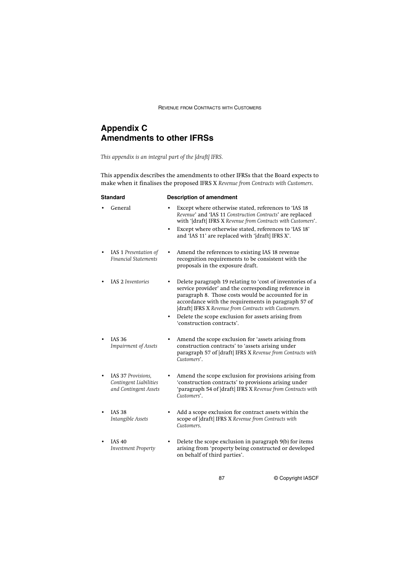# **Appendix C Amendments to other IFRSs**

*This appendix is an integral part of the [draft] IFRS.*

This appendix describes the amendments to other IFRSs that the Board expects to make when it finalises the proposed IFRS X *Revenue from Contracts with Customers*.

| <b>Standard</b>                                                       | <b>Description of amendment</b>                                                                                                                                                                                                                                                                                                               |  |  |
|-----------------------------------------------------------------------|-----------------------------------------------------------------------------------------------------------------------------------------------------------------------------------------------------------------------------------------------------------------------------------------------------------------------------------------------|--|--|
| General                                                               | Except where otherwise stated, references to 'IAS 18<br>Revenue' and 'IAS 11 Construction Contracts' are replaced<br>with '[draft] IFRS X Revenue from Contracts with Customers'.                                                                                                                                                             |  |  |
|                                                                       | Except where otherwise stated, references to 'IAS 18'<br>and 'IAS 11' are replaced with '[draft] IFRS X'.                                                                                                                                                                                                                                     |  |  |
| IAS 1 Presentation of<br><b>Financial Statements</b>                  | Amend the references to existing IAS 18 revenue<br>٠<br>recognition requirements to be consistent with the<br>proposals in the exposure draft.                                                                                                                                                                                                |  |  |
| <b>IAS 2 Inventories</b>                                              | Delete paragraph 19 relating to 'cost of inventories of a<br>service provider' and the corresponding reference in<br>paragraph 8. Those costs would be accounted for in<br>accordance with the requirements in paragraph 57 of<br>[draft] IFRS X Revenue from Contracts with Customers.<br>Delete the scope exclusion for assets arising from |  |  |
|                                                                       | 'construction contracts'.                                                                                                                                                                                                                                                                                                                     |  |  |
| <b>IAS 36</b><br><b>Impairment of Assets</b>                          | Amend the scope exclusion for 'assets arising from<br>construction contracts' to 'assets arising under<br>paragraph 57 of [draft] IFRS X Revenue from Contracts with<br>Customers'.                                                                                                                                                           |  |  |
| IAS 37 Provisions,<br>Contingent Liabilities<br>and Contingent Assets | Amend the scope exclusion for provisions arising from<br>'construction contracts' to provisions arising under<br>'paragraph 54 of [draft] IFRS X Revenue from Contracts with<br>Customers'.                                                                                                                                                   |  |  |
| <b>IAS 38</b><br>Intangible Assets                                    | Add a scope exclusion for contract assets within the<br>scope of [draft] IFRS X Revenue from Contracts with<br>Customers.                                                                                                                                                                                                                     |  |  |
|                                                                       |                                                                                                                                                                                                                                                                                                                                               |  |  |

• IAS 40 *Investment Property* • Delete the scope exclusion in paragraph 9(b) for items arising from 'property being constructed or developed on behalf of third parties'.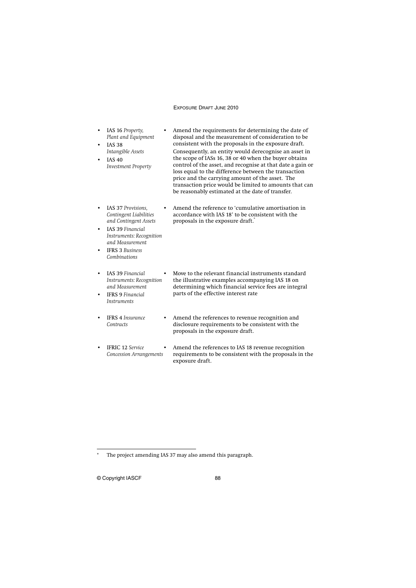- IAS 16 *Property, Plant and Equipment*
- IAS 38 *Intangible Assets*
- IAS 40 *Investment Property*

• Amend the requirements for determining the date of disposal and the measurement of consideration to be consistent with the proposals in the exposure draft. Consequently, an entity would derecognise an asset in the scope of IASs 16, 38 or 40 when the buyer obtains control of the asset, and recognise at that date a gain or loss equal to the difference between the transaction price and the carrying amount of the asset. The transaction price would be limited to amounts that can be reasonably estimated at the date of transfer.

• Amend the reference to 'cumulative amortisation in accordance with IAS 18' to be consistent with the

- IAS 37 *Provisions, Contingent Liabilities and Contingent Assets*
- IAS 39 *Financial Instruments: Recognition and Measurement*
- IFRS 3 *Business Combinations*
- IAS 39 *Financial Instruments: Recognition and Measurement*
- IFRS 9 *Financial Instruments*

• Move to the relevant financial instruments standard the illustrative examples accompanying IAS 18 on determining which financial service fees are integral parts of the effective interest rate

• IFRS 4 *Insurance Contracts* • Amend the references to revenue recognition and disclosure requirements to be consistent with the proposals in the exposure draft.

proposals in the exposure draft.<sup>\*</sup>

• IFRIC 12 *Service Concession Arrangements* • Amend the references to IAS 18 revenue recognition requirements to be consistent with the proposals in the exposure draft.

The project amending IAS 37 may also amend this paragraph.